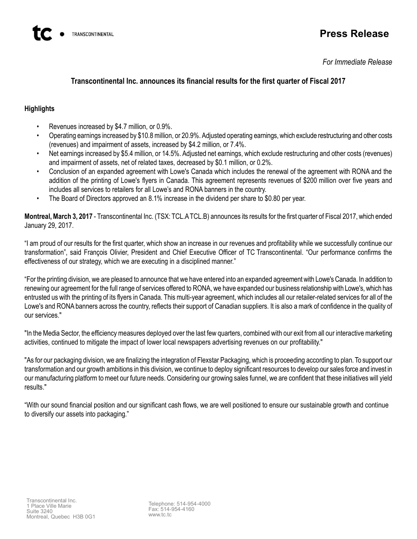# **Press Release**

*For Immediate Release*

# **Transcontinental Inc. announces its financial results for the first quarter of Fiscal 2017**

## **Highlights**

- Revenues increased by \$4.7 million, or 0.9%.
- Operating earnings increased by \$10.8 million, or 20.9%. Adjusted operating earnings, which exclude restructuring and other costs (revenues) and impairment of assets, increased by \$4.2 million, or 7.4%.
- Net earnings increased by \$5.4 million, or 14.5%. Adjusted net earnings, which exclude restructuring and other costs (revenues) and impairment of assets, net of related taxes, decreased by \$0.1 million, or 0.2%.
- Conclusion of an expanded agreement with Lowe's Canada which includes the renewal of the agreement with RONA and the addition of the printing of Lowe's flyers in Canada. This agreement represents revenues of \$200 million over five years and includes all services to retailers for all Lowe's and RONA banners in the country.
- The Board of Directors approved an 8.1% increase in the dividend per share to \$0.80 per year.

**Montreal, March 3, 2017** - Transcontinental Inc. (TSX: TCL.A TCL.B) announces its results for the first quarter of Fiscal 2017, which ended January 29, 2017.

"I am proud of our results for the first quarter, which show an increase in our revenues and profitability while we successfully continue our transformation", said François Olivier, President and Chief Executive Officer of TC Transcontinental. "Our performance confirms the effectiveness of our strategy, which we are executing in a disciplined manner."

"For the printing division, we are pleased to announce that we have entered into an expanded agreement with Lowe's Canada. In addition to renewing our agreement for the full range of services offered to RONA, we have expanded our business relationship with Lowe's, which has entrusted us with the printing of its flyers in Canada. This multi-year agreement, which includes all our retailer-related services for all of the Lowe's and RONA banners across the country, reflects their support of Canadian suppliers. It is also a mark of confidence in the quality of our services."

"In the Media Sector, the efficiency measures deployed over the last few quarters, combined with our exit from all our interactive marketing activities, continued to mitigate the impact of lower local newspapers advertising revenues on our profitability."

"As for our packaging division, we are finalizing the integration of Flexstar Packaging, which is proceeding according to plan. To support our transformation and our growth ambitions in this division, we continue to deploy significant resources to develop our sales force and invest in our manufacturing platform to meet our future needs. Considering our growing sales funnel, we are confident that these initiatives will yield results."

"With our sound financial position and our significant cash flows, we are well positioned to ensure our sustainable growth and continue to diversify our assets into packaging."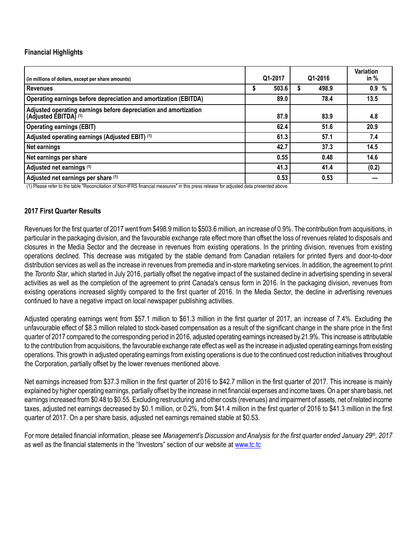### **Financial Highlights**

| (in millions of dollars, except per share amounts)                                        | Q1-2017    | Q1-2016    | <b>Variation</b><br>in $%$ |
|-------------------------------------------------------------------------------------------|------------|------------|----------------------------|
| <b>Revenues</b>                                                                           | 503.6<br>Φ | 498.9<br>S | 0.9%                       |
| Operating earnings before depreciation and amortization (EBITDA)                          | 89.0       | 78.4       | 13.5                       |
| Adjusted operating earnings before depreciation and amortization<br>(Adjusted EBITDA) (1) | 87.9       | 83.9       | 4.8                        |
| <b>Operating earnings (EBIT)</b>                                                          | 62.4       | 51.6       | 20.9                       |
| Adjusted operating earnings (Adjusted EBIT) (1)                                           | 61.3       | 57.1       | 7.4                        |
| Net earnings                                                                              | 42.7       | 37.3       | 14.5                       |
| Net earnings per share                                                                    | 0.55       | 0.48       | 14.6                       |
| Adjusted net earnings (1)                                                                 | 41.3       | 41.4       | (0.2)                      |
| Adjusted net earnings per share (1)                                                       | 0.53       | 0.53       |                            |

(1) Please refer to the table "Reconciliation of Non-IFRS financial measures" in this press release for adjusted data presented above.

#### **2017 First Quarter Results**

Revenues for the first quarter of 2017 went from \$498.9 million to \$503.6 million, an increase of 0.9%. The contribution from acquisitions, in particular in the packaging division, and the favourable exchange rate effect more than offset the loss of revenues related to disposals and closures in the Media Sector and the decrease in revenues from existing operations. In the printing division, revenues from existing operations declined. This decrease was mitigated by the stable demand from Canadian retailers for printed flyers and door-to-door distribution services as well as the increase in revenues from premedia and in-store marketing services. In addition, the agreement to print the *Toronto Star*, which started in July 2016, partially offset the negative impact of the sustained decline in advertising spending in several activities as well as the completion of the agreement to print Canada's census form in 2016. In the packaging division, revenues from existing operations increased slightly compared to the first quarter of 2016. In the Media Sector, the decline in advertising revenues continued to have a negative impact on local newspaper publishing activities.

Adjusted operating earnings went from \$57.1 million to \$61.3 million in the first quarter of 2017, an increase of 7.4%. Excluding the unfavourable effect of \$8.3 million related to stock-based compensation as a result of the significant change in the share price in the first quarter of 2017 compared to the corresponding period in 2016, adjusted operating earnings increased by 21.9%. This increase is attributable to the contribution from acquisitions, the favourable exchange rate effect as well as the increase in adjusted operating earnings from existing operations. This growth in adjusted operating earnings from existing operations is due to the continued cost reduction initiatives throughout the Corporation, partially offset by the lower revenues mentioned above.

Net earnings increased from \$37.3 million in the first quarter of 2016 to \$42.7 million in the first quarter of 2017. This increase is mainly explained by higher operating earnings, partially offset by the increase in net financial expenses and income taxes. On a per share basis, net earnings increased from \$0.48 to \$0.55. Excluding restructuring and other costs (revenues) and impairment of assets, net of related income taxes, adjusted net earnings decreased by \$0.1 million, or 0.2%, from \$41.4 million in the first quarter of 2016 to \$41.3 million in the first quarter of 2017. On a per share basis, adjusted net earnings remained stable at \$0.53.

For more detailed financial information, please see *Management's Discussion and Analysis for the first quarter ended January 29th, 2017* as well as the financial statements in the "Investors" section of our website at [www.tc.tc](http://www.tc.tc/)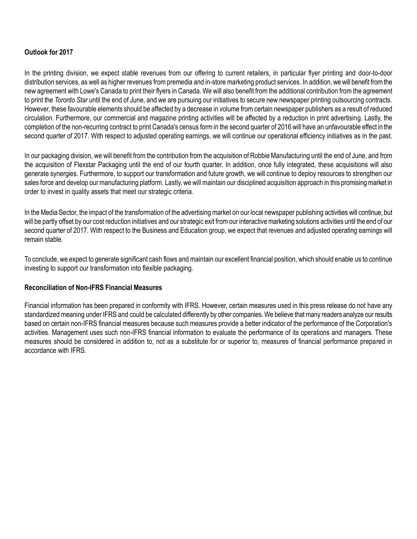# **Outlook for 2017**

In the printing division, we expect stable revenues from our offering to current retailers, in particular flyer printing and door-to-door distribution services, as well as higher revenues from premedia and in-store marketing product services. In addition, we will benefit from the new agreement with Lowe's Canada to print their flyers in Canada. We will also benefit from the additional contribution from the agreement to print the *Toronto Star* until the end of June, and we are pursuing our initiatives to secure new newspaper printing outsourcing contracts. However, these favourable elements should be affected by a decrease in volume from certain newspaper publishers as a result of reduced circulation. Furthermore, our commercial and magazine printing activities will be affected by a reduction in print advertising. Lastly, the completion of the non-recurring contract to print Canada's census form in the second quarter of 2016 will have an unfavourable effect in the second quarter of 2017. With respect to adjusted operating earnings, we will continue our operational efficiency initiatives as in the past.

In our packaging division, we will benefit from the contribution from the acquisition of Robbie Manufacturing until the end of June, and from the acquisition of Flexstar Packaging until the end of our fourth quarter. In addition, once fully integrated, these acquisitions will also generate synergies. Furthermore, to support our transformation and future growth, we will continue to deploy resources to strengthen our sales force and develop our manufacturing platform. Lastly, we will maintain our disciplined acquisition approach in this promising market in order to invest in quality assets that meet our strategic criteria.

In the Media Sector, the impact of the transformation of the advertising market on our local newspaper publishing activities will continue, but will be partly offset by our cost reduction initiatives and our strategic exit from our interactive marketing solutions activities until the end of our second quarter of 2017. With respect to the Business and Education group, we expect that revenues and adjusted operating earnings will remain stable.

To conclude, we expect to generate significant cash flows and maintain our excellent financial position, which should enable us to continue investing to support our transformation into flexible packaging.

#### **Reconciliation of Non-IFRS Financial Measures**

Financial information has been prepared in conformity with IFRS. However, certain measures used in this press release do not have any standardized meaning under IFRS and could be calculated differently by other companies. We believe that many readers analyze our results based on certain non-IFRS financial measures because such measures provide a better indicator of the performance of the Corporation's activities. Management uses such non-IFRS financial information to evaluate the performance of its operations and managers. These measures should be considered in addition to, not as a substitute for or superior to, measures of financial performance prepared in accordance with IFRS.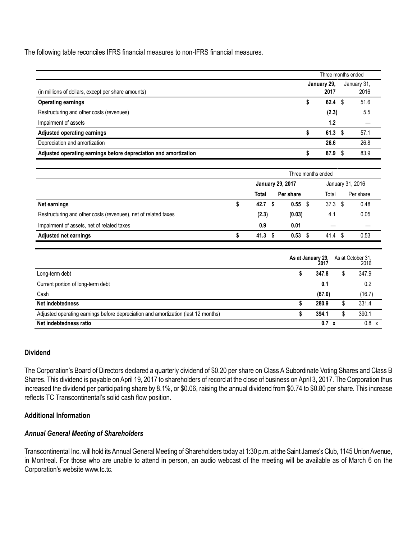The following table reconciles IFRS financial measures to non-IFRS financial measures.

|                                                                  | Three months ended |   |             |  |  |
|------------------------------------------------------------------|--------------------|---|-------------|--|--|
|                                                                  | January 29.        |   | January 31, |  |  |
| (in millions of dollars, except per share amounts)               | 2017               |   | 2016        |  |  |
| <b>Operating earnings</b>                                        | 62.4               |   | 51.6        |  |  |
| Restructuring and other costs (revenues)                         | (2.3)              |   | 5.5         |  |  |
| Impairment of assets                                             | 1.2                |   |             |  |  |
| <b>Adjusted operating earnings</b>                               | 61.3               | S | 57.1        |  |  |
| Depreciation and amortization                                    | 26.6               |   | 26.8        |  |  |
| Adjusted operating earnings before depreciation and amortization | 87.9               |   | 83.9        |  |  |

|                                                                | Three months ended |                         |                  |  |      |   |           |  |  |
|----------------------------------------------------------------|--------------------|-------------------------|------------------|--|------|---|-----------|--|--|
|                                                                |                    | <b>January 29, 2017</b> | January 31, 2016 |  |      |   |           |  |  |
|                                                                | Per share<br>Total |                         |                  |  |      |   | Per share |  |  |
| Net earnings                                                   | 42.7               |                         | $0.55$ \$        |  | 37.3 | S | 0.48      |  |  |
| Restructuring and other costs (revenues), net of related taxes | (2.3)              |                         | (0.03)           |  | 4.1  |   | 0.05      |  |  |
| Impairment of assets, net of related taxes                     | 0.9                |                         | 0.01             |  |      |   |           |  |  |
| <b>Adjusted net earnings</b>                                   | 41.3               |                         | $0.53$ \$        |  | 41.4 | S | 0.53      |  |  |

|                                                                                   | As at January 29,<br>2017 |   | As at October 31,<br>2016 |
|-----------------------------------------------------------------------------------|---------------------------|---|---------------------------|
| Long-term debt                                                                    | 347.8                     | S | 347.9                     |
| Current portion of long-term debt                                                 | 0.1                       |   | 0.2                       |
| Cash                                                                              | (67.0)                    |   | (16.7)                    |
| Net indebtedness                                                                  | 280.9                     |   | 331.4                     |
| Adjusted operating earnings before depreciation and amortization (last 12 months) | 394.1                     |   | 390.1                     |
| Net indebtedness ratio                                                            | $0.7 \times$              |   | $0.8 \times$              |

### **Dividend**

The Corporation's Board of Directors declared a quarterly dividend of \$0.20 per share on Class A Subordinate Voting Shares and Class B Shares. This dividend is payable on April 19, 2017 to shareholders of record at the close of business on April 3, 2017. The Corporation thus increased the dividend per participating share by 8.1%, or \$0.06, raising the annual dividend from \$0.74 to \$0.80 per share. This increase reflects TC Transcontinental's solid cash flow position.

### **Additional Information**

### *Annual General Meeting of Shareholders*

Transcontinental Inc. will hold its Annual General Meeting of Shareholders today at 1:30 p.m. at the Saint James's Club, 1145 Union Avenue, in Montreal. For those who are unable to attend in person, an audio webcast of the meeting will be available as of March 6 on the Corporation's website www.tc.tc.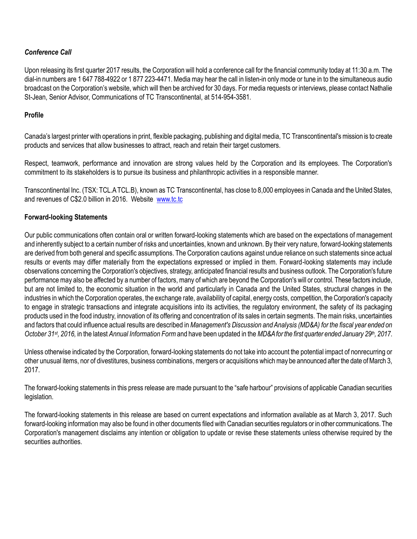# *Conference Call*

Upon releasing its first quarter 2017 results, the Corporation will hold a conference call for the financial community today at 11:30 a.m. The dial-in numbers are 1 647 788-4922 or 1 877 223-4471. Media may hear the call in listen-in only mode or tune in to the simultaneous audio broadcast on the Corporation's website, which will then be archived for 30 days. For media requests or interviews, please contact Nathalie St-Jean, Senior Advisor, Communications of TC Transcontinental, at 514-954-3581.

### **Profile**

Canada's largest printer with operations in print, flexible packaging, publishing and digital media, TC Transcontinental's mission is to create products and services that allow businesses to attract, reach and retain their target customers.

Respect, teamwork, performance and innovation are strong values held by the Corporation and its employees. The Corporation's commitment to its stakeholders is to pursue its business and philanthropic activities in a responsible manner.

Transcontinental Inc. (TSX: TCL.A TCL.B), known as TC Transcontinental, has close to 8,000 employees in Canada and the United States, and revenues of C\$2.0 billion in 2016. Website www.tc.tc

### **Forward-looking Statements**

Our public communications often contain oral or written forward-looking statements which are based on the expectations of management and inherently subject to a certain number of risks and uncertainties, known and unknown. By their very nature, forward-looking statements are derived from both general and specific assumptions. The Corporation cautions against undue reliance on such statements since actual results or events may differ materially from the expectations expressed or implied in them. Forward-looking statements may include observations concerning the Corporation's objectives, strategy, anticipated financial results and business outlook. The Corporation's future performance may also be affected by a number of factors, many of which are beyond the Corporation's will or control. These factors include, but are not limited to, the economic situation in the world and particularly in Canada and the United States, structural changes in the industries in which the Corporation operates, the exchange rate, availability of capital, energy costs, competition, the Corporation's capacity to engage in strategic transactions and integrate acquisitions into its activities, the regulatory environment, the safety of its packaging products used in the food industry, innovation of its offering and concentration of its sales in certain segments. The main risks, uncertainties and factors that could influence actual results are described in *Management's Discussion and Analysis (MD&A) for the fiscal year ended on October 31st, 2016,* in the latest *Annual Information Form* and have been updated in the *MD&A for the first quarter ended January 29th, 2017*.

Unless otherwise indicated by the Corporation, forward-looking statements do not take into account the potential impact of nonrecurring or other unusual items, nor of divestitures, business combinations, mergers or acquisitions which may be announced after the date of March 3, 2017.

The forward-looking statements in this press release are made pursuant to the "safe harbour" provisions of applicable Canadian securities legislation.

The forward-looking statements in this release are based on current expectations and information available as at March 3, 2017. Such forward-looking information may also be found in other documents filed with Canadian securities regulators or in other communications. The Corporation's management disclaims any intention or obligation to update or revise these statements unless otherwise required by the securities authorities.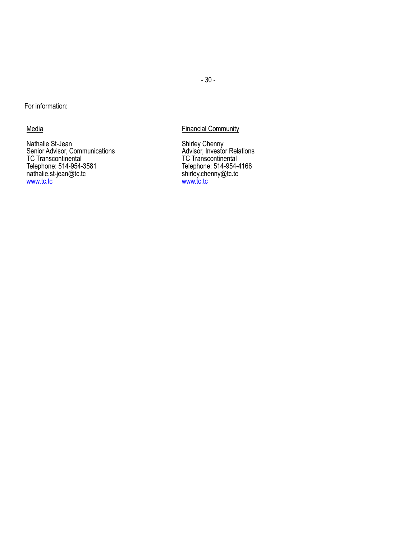For information:

**Media** 

Nathalie St-Jean Senior Advisor, Communications TC Transcontinental Telephone: 514-954-3581 nathalie.st-jean@tc.tc www.tc.tc

# Financial Community

Shirley Chenny Advisor, Investor Relations TC Transcontinental Telephone: 514-954-4166 shirley.chenny@tc.tc www.tc.tc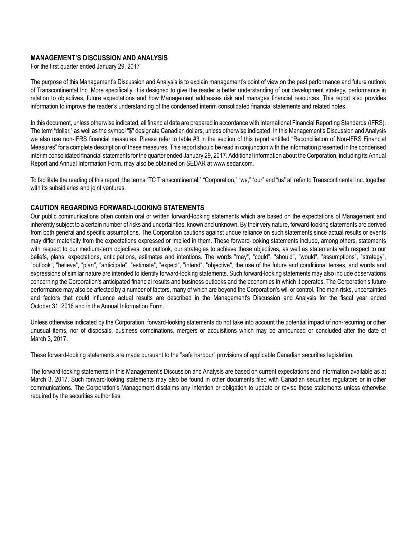#### **MANAGEMENT'S DISCUSSION AND ANALYSIS**

For the first quarter ended January 29, 2017

The purpose of this Management's Discussion and Analysis is to explain management's point of view on the past performance and future outlook of Transcontinental Inc. More specifically, it is designed to give the reader a better understanding of our development strategy, performance in relation to objectives, future expectations and how Management addresses risk and manages financial resources. This report also provides information to improve the reader's understanding of the condensed interim consolidated financial statements and related notes.

In this document, unless otherwise indicated, all financial data are prepared in accordance with International Financial Reporting Standards (IFRS). The term "dollar," as well as the symbol "\$" designate Canadian dollars, unless otherwise indicated. In this Management's Discussion and Analysis we also use non-IFRS financial measures. Please refer to table #3 in the section of this report entitled "Reconciliation of Non-IFRS Financial Measures" for a complete description of these measures. This report should be read in conjunction with the information presented in the condensed interim consolidated financial statements for the quarter ended January 29, 2017. Additional information about the Corporation, including its Annual Report and Annual Information Form, may also be obtained on SEDAR at www.sedar.com.

To facilitate the reading of this report, the terms "TC Transcontinental," "Corporation," "we," "our" and "us" all refer to Transcontinental Inc. together with its subsidiaries and joint ventures.

### **CAUTION REGARDING FORWARD-LOOKING STATEMENTS**

Our public communications often contain oral or written forward-looking statements which are based on the expectations of Management and inherently subject to a certain number of risks and uncertainties, known and unknown. By their very nature, forward-looking statements are derived from both general and specific assumptions. The Corporation cautions against undue reliance on such statements since actual results or events may differ materially from the expectations expressed or implied in them. These forward-looking statements include, among others, statements with respect to our medium-term objectives, our outlook, our strategies to achieve these objectives, as well as statements with respect to our beliefs, plans, expectations, anticipations, estimates and intentions. The words "may", "could", "should", "would", "assumptions", "strategy", "outlook", "believe", "plan", "anticipate", "estimate", "expect", "intend", "objective", the use of the future and conditional tenses, and words and expressions of similar nature are intended to identify forward-looking statements. Such forward-looking statements may also include observations concerning the Corporation's anticipated financial results and business outlooks and the economies in which it operates. The Corporation's future performance may also be affected by a number of factors, many of which are beyond the Corporation's will or control. The main risks, uncertainties and factors that could influence actual results are described in the Management's Discussion and Analysis for the fiscal year ended October 31, 2016 and in the Annual Information Form.

Unless otherwise indicated by the Corporation, forward-looking statements do not take into account the potential impact of non-recurring or other unusual items, nor of disposals, business combinations, mergers or acquisitions which may be announced or concluded after the date of March 3, 2017.

These forward-looking statements are made pursuant to the "safe harbour" provisions of applicable Canadian securities legislation.

The forward-looking statements in this Management's Discussion and Analysis are based on current expectations and information available as at March 3, 2017. Such forward-looking statements may also be found in other documents filed with Canadian securities regulators or in other communications. The Corporation's Management disclaims any intention or obligation to update or revise these statements unless otherwise required by the securities authorities.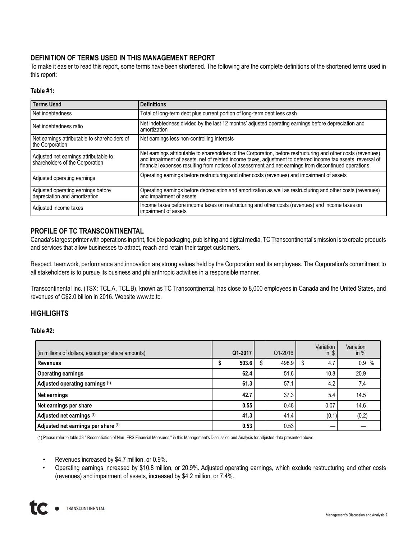# **DEFINITION OF TERMS USED IN THIS MANAGEMENT REPORT**

To make it easier to read this report, some terms have been shortened. The following are the complete definitions of the shortened terms used in this report:

#### **Table #1:**

| Terms Used                                                               | <b>Definitions</b>                                                                                                                                                                                                                                                                                                                     |
|--------------------------------------------------------------------------|----------------------------------------------------------------------------------------------------------------------------------------------------------------------------------------------------------------------------------------------------------------------------------------------------------------------------------------|
| Net indebtedness                                                         | Total of long-term debt plus current portion of long-term debt less cash                                                                                                                                                                                                                                                               |
| Net indebtedness ratio                                                   | Net indebtedness divided by the last 12 months' adjusted operating earnings before depreciation and<br>amortization                                                                                                                                                                                                                    |
| Net earnings attributable to shareholders of<br>the Corporation          | Net earnings less non-controlling interests                                                                                                                                                                                                                                                                                            |
| Adjusted net earnings attributable to<br>shareholders of the Corporation | Net earnings attributable to shareholders of the Corporation, before restructuring and other costs (revenues)<br>and impairment of assets, net of related income taxes, adjustment to deferred income tax assets, reversal of<br>financial expenses resulting from notices of assessment and net earnings from discontinued operations |
| Adjusted operating earnings                                              | Operating earnings before restructuring and other costs (revenues) and impairment of assets                                                                                                                                                                                                                                            |
| Adjusted operating earnings before<br>depreciation and amortization      | Operating earnings before depreciation and amortization as well as restructuring and other costs (revenues)<br>and impairment of assets                                                                                                                                                                                                |
| Adjusted income taxes                                                    | Income taxes before income taxes on restructuring and other costs (revenues) and income taxes on<br>impairment of assets                                                                                                                                                                                                               |

#### **PROFILE OF TC TRANSCONTINENTAL**

Canada's largest printer with operations in print, flexible packaging, publishing and digital media, TC Transcontinental's mission is to create products and services that allow businesses to attract, reach and retain their target customers.

Respect, teamwork, performance and innovation are strong values held by the Corporation and its employees. The Corporation's commitment to all stakeholders is to pursue its business and philanthropic activities in a responsible manner.

Transcontinental Inc. (TSX: TCL.A, TCL.B), known as TC Transcontinental, has close to 8,000 employees in Canada and the United States, and revenues of C\$2.0 billion in 2016. Website www.tc.tc.

#### **HIGHLIGHTS**

**Table #2:**

| (in millions of dollars, except per share amounts) | Q1-2017 | Q1-2016     | Variation<br>$in$ $\sqrt{s}$ | Variation<br>in $%$ |
|----------------------------------------------------|---------|-------------|------------------------------|---------------------|
| Revenues                                           | 503.6   | 498.9<br>J. | 4.7<br>S                     | 0.9%                |
| <b>Operating earnings</b>                          | 62.4    | 51.6        | 10.8                         | 20.9                |
| Adjusted operating earnings (1)                    | 61.3    | 57.1        | 4.2                          | 7.4                 |
| Net earnings                                       | 42.7    | 37.3        | 5.4                          | 14.5                |
| Net earnings per share                             | 0.55    | 0.48        | 0.07                         | 14.6                |
| Adjusted net earnings (1)                          | 41.3    | 41.4        | (0.1)                        | (0.2)               |
| Adjusted net earnings per share (1)                | 0.53    | 0.53        |                              |                     |

(1) Please refer to table #3 " Reconciliation of Non-IFRS Financial Measures " in this Management's Discussion and Analysis for adjusted data presented above.

• Revenues increased by \$4.7 million, or 0.9%.

• Operating earnings increased by \$10.8 million, or 20.9%. Adjusted operating earnings, which exclude restructuring and other costs (revenues) and impairment of assets, increased by \$4.2 million, or 7.4%.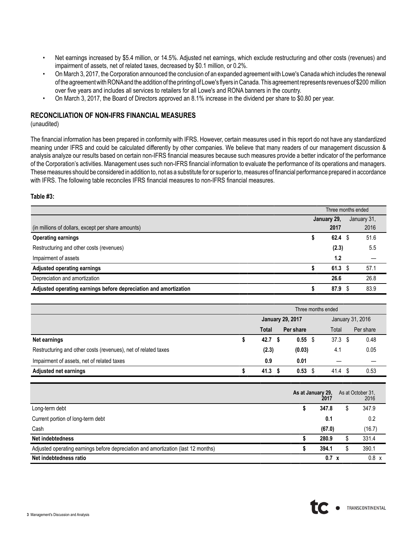- Net earnings increased by \$5.4 million, or 14.5%. Adjusted net earnings, which exclude restructuring and other costs (revenues) and impairment of assets, net of related taxes, decreased by \$0.1 million, or 0.2%.
- On March 3, 2017, the Corporation announced the conclusion of an expanded agreement with Lowe's Canada which includes the renewal of the agreement with RONAand the addition of the printing of Lowe's flyers in Canada. This agreement represents revenues of \$200 million over five years and includes all services to retailers for all Lowe's and RONA banners in the country.
- On March 3, 2017, the Board of Directors approved an 8.1% increase in the dividend per share to \$0.80 per year.

### **RECONCILIATION OF NON-IFRS FINANCIAL MEASURES**

(unaudited)

The financial information has been prepared in conformity with IFRS. However, certain measures used in this report do not have any standardized meaning under IFRS and could be calculated differently by other companies. We believe that many readers of our management discussion & analysis analyze our results based on certain non-IFRS financial measures because such measures provide a better indicator of the performance of the Corporation's activities. Management uses such non-IFRS financial information to evaluate the performance of its operations and managers. These measures should be considered in addition to, not as a substitute for or superior to, measures of financial performance prepared in accordance with IFRS. The following table reconciles IFRS financial measures to non-IFRS financial measures.

**Table #3:**

|                                                                  |  | Three months ended |  |             |
|------------------------------------------------------------------|--|--------------------|--|-------------|
|                                                                  |  | January 29,        |  | January 31, |
| (in millions of dollars, except per share amounts)               |  | 2017               |  | 2016        |
| <b>Operating earnings</b>                                        |  | 62.4               |  | 51.6        |
| Restructuring and other costs (revenues)                         |  | (2.3)              |  | 5.5         |
| Impairment of assets                                             |  | 1.2                |  |             |
| <b>Adjusted operating earnings</b>                               |  | 61.3               |  | 57.1        |
| Depreciation and amortization                                    |  | 26.6               |  | 26.8        |
| Adjusted operating earnings before depreciation and amortization |  | 87.9               |  | 83.9        |

|                                                                | Three months ended |                   |                         |  |                   |           |  |  |  |  |
|----------------------------------------------------------------|--------------------|-------------------|-------------------------|--|-------------------|-----------|--|--|--|--|
|                                                                |                    |                   | <b>January 29, 2017</b> |  | January 31, 2016  |           |  |  |  |  |
|                                                                |                    | Total             | Per share               |  | Total             | Per share |  |  |  |  |
| Net earnings                                                   |                    | 42.7 <sup>5</sup> | $0.55$ \$               |  | 37.3 <sup>5</sup> | 0.48      |  |  |  |  |
| Restructuring and other costs (revenues), net of related taxes |                    | (2.3)             | (0.03)                  |  | 4.1               | 0.05      |  |  |  |  |
| Impairment of assets, net of related taxes                     |                    | 0.9               | 0.01                    |  |                   |           |  |  |  |  |
| <b>Adjusted net earnings</b>                                   |                    | 41.3 <sup>5</sup> | 0.53                    |  | 41.4              | 0.53      |  |  |  |  |

|                                                                                   | As at January 29,<br>2017 |    | As at October 31,<br>2016 |
|-----------------------------------------------------------------------------------|---------------------------|----|---------------------------|
| Long-term debt                                                                    | 347.8                     | \$ | 347.9                     |
| Current portion of long-term debt                                                 | 0.1                       |    | 0.2                       |
| Cash                                                                              | (67.0)                    |    | (16.7)                    |
| Net indebtedness                                                                  | 280.9                     |    | 331.4                     |
| Adjusted operating earnings before depreciation and amortization (last 12 months) | 394.1                     | S  | 390.1                     |
| Net indebtedness ratio                                                            | $0.7 \times$              |    | $0.8 \times$              |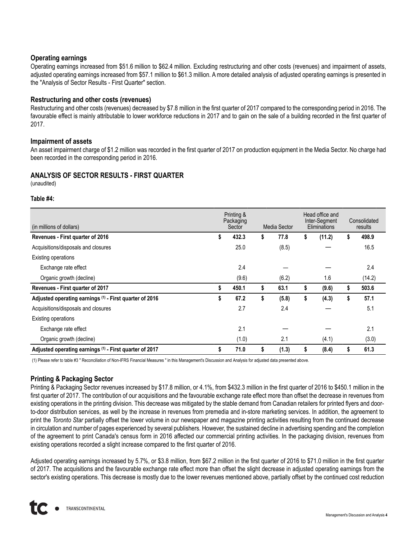### **Operating earnings**

Operating earnings increased from \$51.6 million to \$62.4 million. Excluding restructuring and other costs (revenues) and impairment of assets, adjusted operating earnings increased from \$57.1 million to \$61.3 million. Amore detailed analysis of adjusted operating earnings is presented in the "Analysis of Sector Results - First Quarter" section.

#### **Restructuring and other costs (revenues)**

Restructuring and other costs (revenues) decreased by \$7.8 million in the first quarter of 2017 compared to the corresponding period in 2016. The favourable effect is mainly attributable to lower workforce reductions in 2017 and to gain on the sale of a building recorded in the first quarter of 2017.

#### **Impairment of assets**

An asset impairment charge of \$1.2 million was recorded in the first quarter of 2017 on production equipment in the Media Sector. No charge had been recorded in the corresponding period in 2016.

### **ANALYSIS OF SECTOR RESULTS - FIRST QUARTER**

(unaudited)

#### **Table #4:**

| (in millions of dollars)                                | Printing &<br>Packaging<br>Media Sector<br>Sector |       |    |       | Head office and<br>Inter-Segment<br>Eliminations | Consolidated<br>results |        |  |
|---------------------------------------------------------|---------------------------------------------------|-------|----|-------|--------------------------------------------------|-------------------------|--------|--|
| Revenues - First quarter of 2016                        | \$                                                | 432.3 | \$ | 77.8  | \$<br>(11.2)                                     | \$                      | 498.9  |  |
| Acquisitions/disposals and closures                     |                                                   | 25.0  |    | (8.5) |                                                  |                         | 16.5   |  |
| <b>Existing operations</b>                              |                                                   |       |    |       |                                                  |                         |        |  |
| Exchange rate effect                                    |                                                   | 2.4   |    |       |                                                  |                         | 2.4    |  |
| Organic growth (decline)                                |                                                   | (9.6) |    | (6.2) | 1.6                                              |                         | (14.2) |  |
| Revenues - First quarter of 2017                        | \$                                                | 450.1 | \$ | 63.1  | \$<br>(9.6)                                      | \$                      | 503.6  |  |
| Adjusted operating earnings (1) - First quarter of 2016 | \$                                                | 67.2  | \$ | (5.8) | \$<br>(4.3)                                      | \$                      | 57.1   |  |
| Acquisitions/disposals and closures                     |                                                   | 2.7   |    | 2.4   |                                                  |                         | 5.1    |  |
| Existing operations                                     |                                                   |       |    |       |                                                  |                         |        |  |
| Exchange rate effect                                    |                                                   | 2.1   |    |       |                                                  |                         | 2.1    |  |
| Organic growth (decline)                                |                                                   | (1.0) |    | 2.1   | (4.1)                                            |                         | (3.0)  |  |
| Adjusted operating earnings (1) - First quarter of 2017 | S                                                 | 71.0  | \$ | (1.3) | \$<br>(8.4)                                      | \$                      | 61.3   |  |

(1) Please refer to table #3 " Reconciliation of Non-IFRS Financial Measures " in this Management's Discussion and Analysis for adjusted data presented above.

### **Printing & Packaging Sector**

Printing & Packaging Sector revenues increased by \$17.8 million, or 4.1%, from \$432.3 million in the first quarter of 2016 to \$450.1 million in the first quarter of 2017. The contribution of our acquisitions and the favourable exchange rate effect more than offset the decrease in revenues from existing operations in the printing division. This decrease was mitigated by the stable demand from Canadian retailers for printed flyers and doorto-door distribution services, as well by the increase in revenues from premedia and in-store marketing services. In addition, the agreement to print the *Toronto Star* partially offset the lower volume in our newspaper and magazine printing activities resulting from the continued decrease in circulation and number of pages experienced by several publishers. However, the sustained decline in advertising spending and the completion of the agreement to print Canada's census form in 2016 affected our commercial printing activities. In the packaging division, revenues from existing operations recorded a slight increase compared to the first quarter of 2016.

Adjusted operating earnings increased by 5.7%, or \$3.8 million, from \$67.2 million in the first quarter of 2016 to \$71.0 million in the first quarter of 2017. The acquisitions and the favourable exchange rate effect more than offset the slight decrease in adjusted operating earnings from the sector's existing operations. This decrease is mostly due to the lower revenues mentioned above, partially offset by the continued cost reduction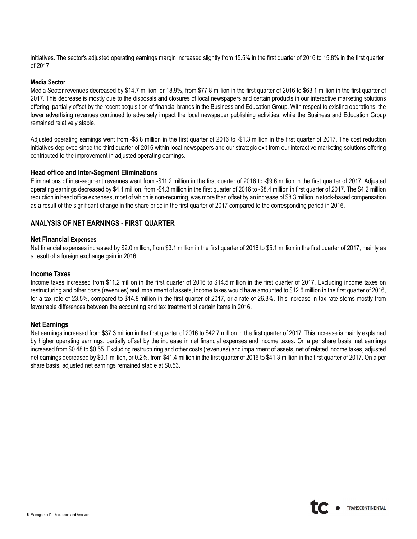initiatives. The sector's adjusted operating earnings margin increased slightly from 15.5% in the first quarter of 2016 to 15.8% in the first quarter of 2017.

#### **Media Sector**

Media Sector revenues decreased by \$14.7 million, or 18.9%, from \$77.8 million in the first quarter of 2016 to \$63.1 million in the first quarter of 2017. This decrease is mostly due to the disposals and closures of local newspapers and certain products in our interactive marketing solutions offering, partially offset by the recent acquisition of financial brands in the Business and Education Group. With respect to existing operations, the lower advertising revenues continued to adversely impact the local newspaper publishing activities, while the Business and Education Group remained relatively stable.

Adjusted operating earnings went from -\$5.8 million in the first quarter of 2016 to -\$1.3 million in the first quarter of 2017. The cost reduction initiatives deployed since the third quarter of 2016 within local newspapers and our strategic exit from our interactive marketing solutions offering contributed to the improvement in adjusted operating earnings.

#### **Head office and Inter-Segment Eliminations**

Eliminations of inter-segment revenues went from -\$11.2 million in the first quarter of 2016 to -\$9.6 million in the first quarter of 2017. Adjusted operating earnings decreased by \$4.1 million, from -\$4.3 million in the first quarter of 2016 to -\$8.4 million in first quarter of 2017. The \$4.2 million reduction in head office expenses, most of which is non-recurring, was more than offset by an increase of \$8.3 million in stock-based compensation as a result of the significant change in the share price in the first quarter of 2017 compared to the corresponding period in 2016.

#### **ANALYSIS OF NET EARNINGS - FIRST QUARTER**

#### **Net Financial Expenses**

Net financial expenses increased by \$2.0 million, from \$3.1 million in the first quarter of 2016 to \$5.1 million in the first quarter of 2017, mainly as a result of a foreign exchange gain in 2016.

#### **Income Taxes**

Income taxes increased from \$11.2 million in the first quarter of 2016 to \$14.5 million in the first quarter of 2017. Excluding income taxes on restructuring and other costs (revenues) and impairment of assets, income taxes would have amounted to \$12.6 million in the first quarter of 2016, for a tax rate of 23.5%, compared to \$14.8 million in the first quarter of 2017, or a rate of 26.3%. This increase in tax rate stems mostly from favourable differences between the accounting and tax treatment of certain items in 2016.

#### **Net Earnings**

Net earnings increased from \$37.3 million in the first quarter of 2016 to \$42.7 million in the first quarter of 2017. This increase is mainly explained by higher operating earnings, partially offset by the increase in net financial expenses and income taxes. On a per share basis, net earnings increased from \$0.48 to \$0.55. Excluding restructuring and other costs (revenues) and impairment of assets, net of related income taxes, adjusted net earnings decreased by \$0.1 million, or 0.2%, from \$41.4 million in the first quarter of 2016 to \$41.3 million in the first quarter of 2017. On a per share basis, adjusted net earnings remained stable at \$0.53.

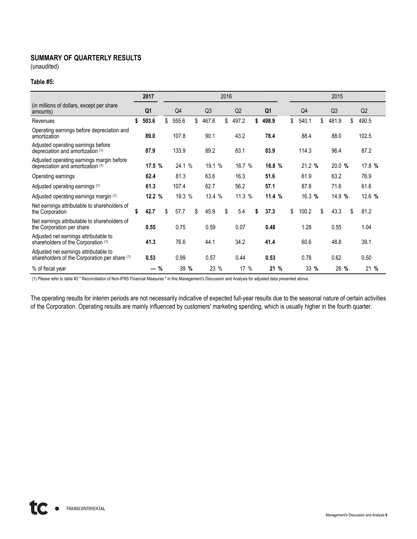# **SUMMARY OF QUARTERLY RESULTS**

(unaudited)

#### **Table #5:**

|                                                                                        | 2017           |                |                | 2016 |        |                |                | 2015           |             |
|----------------------------------------------------------------------------------------|----------------|----------------|----------------|------|--------|----------------|----------------|----------------|-------------|
| (in millions of dollars, except per share)<br>amounts)                                 | Q <sub>1</sub> | Q <sub>4</sub> | Q <sub>3</sub> |      | Q2     | Q <sub>1</sub> | Q <sub>4</sub> | Q <sub>3</sub> | Q2          |
| Revenues                                                                               | \$<br>503.6    | \$<br>555.6    | \$<br>467.8    | \$   | 497.2  | \$<br>498.9    | \$<br>540.1    | \$<br>481.9    | \$<br>490.5 |
| Operating earnings before depreciation and<br>amortization                             | 89.0           | 107.8          | 90.1           |      | 43.2   | 78.4           | 88.4           | 88.0           | 102.5       |
| Adjusted operating earnings before<br>depreciation and amortization (1)                | 87.9           | 133.9          | 89.2           |      | 83.1   | 83.9           | 114.3          | 96.4           | 87.2        |
| Adjusted operating earnings margin before<br>depreciation and amortization (1)         | 17.5%          | 24.1 %         | 19.1 %         |      | 16.7 % | 16.8 %         | 21.2 %         | 20.0 %         | 17.8 %      |
| Operating earnings                                                                     | 62.4           | 81.3           | 63.6           |      | 16.3   | 51.6           | 61.9           | 63.2           | 76.9        |
| Adjusted operating earnings (1)                                                        | 61.3           | 107.4          | 62.7           |      | 56.2   | 57.1           | 87.8           | 71.6           | 61.6        |
| Adjusted operating earnings margin (1)                                                 | 12.2 %         | 19.3 %         | 13.4 %         |      | 11.3 % | 11.4 %         | 16.3 %         | 14.9 %         | 12.6 %      |
| Net earnings attributable to shareholders of<br>the Corporation                        | \$<br>42.7     | \$<br>57.7     | \$<br>45.9     | \$   | 5.4    | \$<br>37.3     | \$<br>100.2    | \$<br>43.3     | \$<br>81.2  |
| Net earnings attributable to shareholders of<br>the Corporation per share              | 0.55           | 0.75           | 0.59           |      | 0.07   | 0.48           | 1.28           | 0.55           | 1.04        |
| Adjusted net earnings attributable to<br>shareholders of the Corporation (1)           | 41.3           | 76.6           | 44.1           |      | 34.2   | 41.4           | 60.6           | 48.8           | 39.1        |
| Adjusted net earnings attributable to<br>shareholders of the Corporation per share (1) | 0.53           | 0.99           | 0.57           |      | 0.44   | 0.53           | 0.78           | 0.62           | 0.50        |
| % of fiscal year                                                                       | — %            | 39 %           | 23 %           |      | 17 %   | 21 %           | 33 %           | 26 %           | 21 %        |

(1) Please refer to table #3 " Reconciliation of Non-IFRS Financial Measures " in this Management's Discussion and Analysis for adjusted data presented above.

The operating results for interim periods are not necessarily indicative of expected full-year results due to the seasonal nature of certain activities of the Corporation. Operating results are mainly influenced by customers' marketing spending, which is usually higher in the fourth quarter.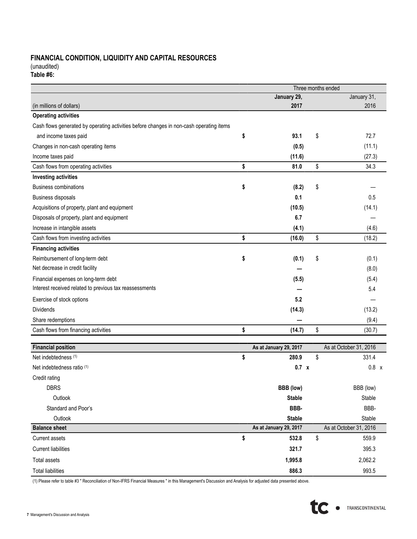# **FINANCIAL CONDITION, LIQUIDITY AND CAPITAL RESOURCES**

(unaudited)

| Table #6: |  |
|-----------|--|
|           |  |

|                                                                                         |                        | Three months ended     |
|-----------------------------------------------------------------------------------------|------------------------|------------------------|
|                                                                                         | January 29,            | January 31,            |
| (in millions of dollars)                                                                | 2017                   | 2016                   |
| <b>Operating activities</b>                                                             |                        |                        |
| Cash flows generated by operating activities before changes in non-cash operating items |                        |                        |
| and income taxes paid                                                                   | \$<br>93.1             | \$<br>72.7             |
| Changes in non-cash operating items                                                     | (0.5)                  | (11.1)                 |
| Income taxes paid                                                                       | (11.6)                 | (27.3)                 |
| Cash flows from operating activities                                                    | \$<br>81.0             | \$<br>34.3             |
| <b>Investing activities</b>                                                             |                        |                        |
| <b>Business combinations</b>                                                            | \$<br>(8.2)            | \$                     |
| <b>Business disposals</b>                                                               | 0.1                    | 0.5                    |
| Acquisitions of property, plant and equipment                                           | (10.5)                 | (14.1)                 |
| Disposals of property, plant and equipment                                              | 6.7                    |                        |
| Increase in intangible assets                                                           | (4.1)                  | (4.6)                  |
| Cash flows from investing activities                                                    | \$<br>(16.0)           | \$<br>(18.2)           |
| <b>Financing activities</b>                                                             |                        |                        |
| Reimbursement of long-term debt                                                         | \$<br>(0.1)            | \$<br>(0.1)            |
| Net decrease in credit facility                                                         |                        | (8.0)                  |
| Financial expenses on long-term debt                                                    | (5.5)                  | (5.4)                  |
| Interest received related to previous tax reassessments                                 |                        | 5.4                    |
| Exercise of stock options                                                               | 5.2                    |                        |
| <b>Dividends</b>                                                                        | (14.3)                 | (13.2)                 |
| Share redemptions                                                                       |                        | (9.4)                  |
| Cash flows from financing activities                                                    | \$<br>(14.7)           | \$<br>(30.7)           |
|                                                                                         |                        |                        |
| <b>Financial position</b>                                                               | As at January 29, 2017 | As at October 31, 2016 |
| Net indebtedness (1)                                                                    | \$<br>280.9            | \$<br>331.4            |
| Net indebtedness ratio (1)                                                              | 0.7 x                  | 0.8 x                  |
| Credit rating                                                                           |                        |                        |
| <b>DBRS</b>                                                                             | <b>BBB</b> (low)       | BBB (low)              |
| Outlook                                                                                 | <b>Stable</b>          | Stable                 |
| Standard and Poor's                                                                     | BBB-                   | BBB-                   |
| Outlook                                                                                 | <b>Stable</b>          | Stable                 |
| <b>Balance sheet</b>                                                                    | As at January 29, 2017 | As at October 31, 2016 |
| <b>Current assets</b>                                                                   | \$<br>532.8            | \$<br>559.9            |
| <b>Current liabilities</b>                                                              | 321.7                  | 395.3                  |
| Total assets                                                                            | 1,995.8                | 2,062.2                |
| <b>Total liabilities</b>                                                                | 886.3                  | 993.5                  |

(1) Please refer to table #3 " Reconciliation of Non-IFRS Financial Measures " in this Management's Discussion and Analysis for adjusted data presented above.

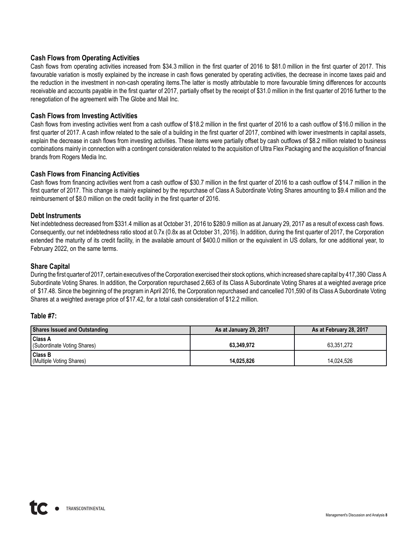### **Cash Flows from Operating Activities**

Cash flows from operating activities increased from \$34.3 million in the first quarter of 2016 to \$81.0 million in the first quarter of 2017. This favourable variation is mostly explained by the increase in cash flows generated by operating activities, the decrease in income taxes paid and the reduction in the investment in non-cash operating items.The latter is mostly attributable to more favourable timing differences for accounts receivable and accounts payable in the first quarter of 2017, partially offset by the receipt of \$31.0 million in the first quarter of 2016 further to the renegotiation of the agreement with The Globe and Mail Inc.

#### **Cash Flows from Investing Activities**

Cash flows from investing activities went from a cash outflow of \$18.2 million in the first quarter of 2016 to a cash outflow of \$16.0 million in the first quarter of 2017. A cash inflow related to the sale of a building in the first quarter of 2017, combined with lower investments in capital assets, explain the decrease in cash flows from investing activities. These items were partially offset by cash outflows of \$8.2 million related to business combinations mainly in connection with a contingent consideration related to the acquisition of Ultra Flex Packaging and the acquisition of financial brands from Rogers Media Inc.

### **Cash Flows from Financing Activities**

Cash flows from financing activities went from a cash outflow of \$30.7 million in the first quarter of 2016 to a cash outflow of \$14.7 million in the first quarter of 2017. This change is mainly explained by the repurchase of Class A Subordinate Voting Shares amounting to \$9.4 million and the reimbursement of \$8.0 million on the credit facility in the first quarter of 2016.

### **Debt Instruments**

Net indebtedness decreased from \$331.4 million as at October 31, 2016 to \$280.9 million as at January 29, 2017 as a result of excess cash flows. Consequently, our net indebtedness ratio stood at 0.7x (0.8x as at October 31, 2016). In addition, during the first quarter of 2017, the Corporation extended the maturity of its credit facility, in the available amount of \$400.0 million or the equivalent in US dollars, for one additional year, to February 2022, on the same terms.

### **Share Capital**

During the first quarter of 2017, certain executives of the Corporation exercised their stock options, which increased share capital by 417,390 Class A Subordinate Voting Shares. In addition, the Corporation repurchased 2,663 of its Class A Subordinate Voting Shares at a weighted average price of \$17.48. Since the beginning of the program in April 2016, the Corporation repurchased and cancelled 701,590 of its Class A Subordinate Voting Shares at a weighted average price of \$17.42, for a total cash consideration of \$12.2 million.

#### **Table #7:**

| <b>Shares Issued and Outstanding</b>          | As at January 29, 2017 | As at February 28, 2017 |
|-----------------------------------------------|------------------------|-------------------------|
| <b>Class A</b><br>(Subordinate Voting Shares) | 63.349.972             | 63.351.272              |
| <b>Class B</b><br>(Multiple Voting Shares)    | 14.025.826             | 14.024.526              |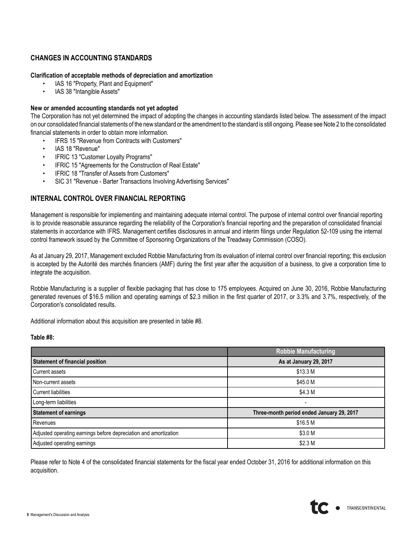# **CHANGES IN ACCOUNTING STANDARDS**

#### **Clarification of acceptable methods of depreciation and amortization**

- IAS 16 "Property, Plant and Equipment"
- IAS 38 "Intangible Assets"

#### **New or amended accounting standards not yet adopted**

The Corporation has not yet determined the impact of adopting the changes in accounting standards listed below. The assessment of the impact on our consolidated financial statements of the new standard or the amendment to the standard is still ongoing. Please see Note 2 to the consolidated financial statements in order to obtain more information.

- IFRS 15 "Revenue from Contracts with Customers"
- IAS 18 "Revenue"
- IFRIC 13 "Customer Loyalty Programs"
- IFRIC 15 "Agreements for the Construction of Real Estate"
- IFRIC 18 "Transfer of Assets from Customers"
- SIC 31 "Revenue Barter Transactions Involving Advertising Services"

### **INTERNAL CONTROL OVER FINANCIAL REPORTING**

Management is responsible for implementing and maintaining adequate internal control. The purpose of internal control over financial reporting is to provide reasonable assurance regarding the reliability of the Corporation's financial reporting and the preparation of consolidated financial statements in accordance with IFRS. Management certifies disclosures in annual and interim filings under Regulation 52-109 using the internal control framework issued by the Committee of Sponsoring Organizations of the Treadway Commission (COSO).

As at January 29, 2017, Management excluded Robbie Manufacturing from its evaluation of internal control over financial reporting; this exclusion is accepted by the Autorité des marchés financiers (AMF) during the first year after the acquisition of a business, to give a corporation time to integrate the acquisition.

Robbie Manufacturing is a supplier of flexible packaging that has close to 175 employees. Acquired on June 30, 2016, Robbie Manufacturing generated revenues of \$16.5 million and operating earnings of \$2.3 million in the first quarter of 2017, or 3.3% and 3.7%, respectively, of the Corporation's consolidated results.

Additional information about this acquisition are presented in table #8.

#### **Table #8:**

|                                                                  | <b>Robbie Manufacturing</b>               |
|------------------------------------------------------------------|-------------------------------------------|
| <b>Statement of financial position</b>                           | As at January 29, 2017                    |
| Current assets                                                   | \$13.3 M                                  |
| Non-current assets                                               | \$45.0 M                                  |
| <b>Current liabilities</b>                                       | \$4.3 M                                   |
| Long-term liabilities                                            |                                           |
| <b>Statement of earnings</b>                                     | Three-month period ended January 29, 2017 |
| Revenues                                                         | \$16.5 M                                  |
| Adjusted operating earnings before depreciation and amortization | \$3.0 M                                   |
| Adjusted operating earnings                                      | \$2.3 <sub>M</sub>                        |

Please refer to Note 4 of the consolidated financial statements for the fiscal year ended October 31, 2016 for additional information on this acquisition.

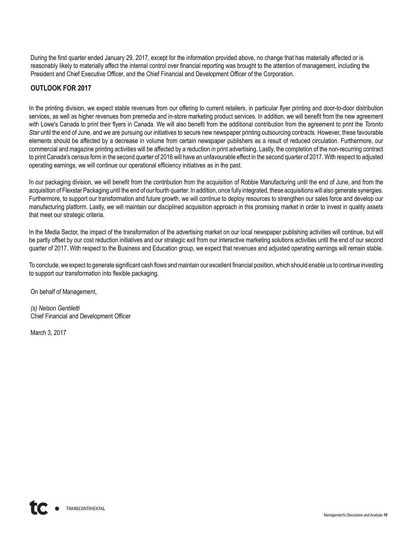During the first quarter ended January 29, 2017, except for the information provided above, no change that has materially affected or is reasonably likely to materially affect the internal control over financial reporting was brought to the attention of management, including the President and Chief Executive Officer, and the Chief Financial and Development Officer of the Corporation.

# **OUTLOOK FOR 2017**

In the printing division, we expect stable revenues from our offering to current retailers, in particular flyer printing and door-to-door distribution services, as well as higher revenues from premedia and in-store marketing product services. In addition, we will benefit from the new agreement with Lowe's Canada to print their flyers in Canada. We will also benefit from the additional contribution from the agreement to print the *Toronto Star* until the end of June, and we are pursuing our initiatives to secure new newspaper printing outsourcing contracts. However, these favourable elements should be affected by a decrease in volume from certain newspaper publishers as a result of reduced circulation. Furthermore, our commercial and magazine printing activities will be affected by a reduction in print advertising. Lastly, the completion of the non-recurring contract to print Canada's census form in the second quarter of 2016 will have an unfavourable effect in the second quarter of 2017. With respect to adjusted operating earnings, we will continue our operational efficiency initiatives as in the past.

In our packaging division, we will benefit from the contribution from the acquisition of Robbie Manufacturing until the end of June, and from the acquisition of Flexstar Packaging until the end of our fourth quarter. In addition, once fully integrated, these acquisitions will also generate synergies. Furthermore, to support our transformation and future growth, we will continue to deploy resources to strengthen our sales force and develop our manufacturing platform. Lastly, we will maintain our disciplined acquisition approach in this promising market in order to invest in quality assets that meet our strategic criteria.

In the Media Sector, the impact of the transformation of the advertising market on our local newspaper publishing activities will continue, but will be partly offset by our cost reduction initiatives and our strategic exit from our interactive marketing solutions activities until the end of our second quarter of 2017. With respect to the Business and Education group, we expect that revenues and adjusted operating earnings will remain stable.

To conclude, we expect to generate significant cash flows and maintain our excellent financial position, which should enable us to continue investing to support our transformation into flexible packaging.

On behalf of Management,

*(s) Nelson Gentiletti* Chief Financial and Development Officer

March 3, 2017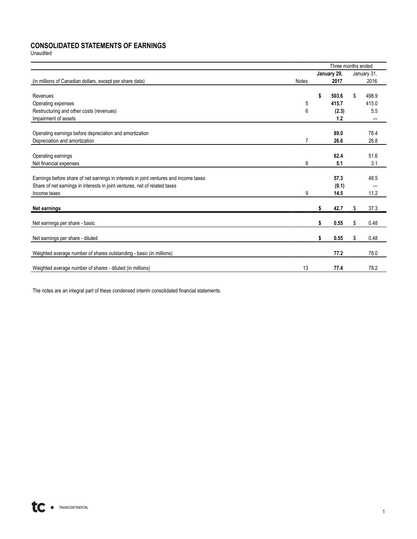# **CONSOLIDATED STATEMENTS OF EARNINGS**

Unaudited

|                                                                                       |              | Three months ended |             |
|---------------------------------------------------------------------------------------|--------------|--------------------|-------------|
|                                                                                       |              | January 29,        | January 31, |
| (in millions of Canadian dollars, except per share data)                              | <b>Notes</b> | 2017               | 2016        |
|                                                                                       |              |                    |             |
| Revenues                                                                              |              | \$<br>503.6        | \$<br>498.9 |
| Operating expenses                                                                    | 5            | 415.7              | 415.0       |
| Restructuring and other costs (revenues)                                              | 6            | (2.3)              | 5.5         |
| Impairment of assets                                                                  |              | 1.2                |             |
|                                                                                       |              |                    |             |
| Operating earnings before depreciation and amortization                               |              | 89.0               | 78.4        |
| Depreciation and amortization                                                         | 7            | 26.6               | 26.8        |
|                                                                                       |              |                    |             |
| Operating earnings                                                                    |              | 62.4               | 51.6        |
| Net financial expenses                                                                | 8            | 5.1                | 3.1         |
| Earnings before share of net earnings in interests in joint ventures and income taxes |              | 57.3               | 48.5        |
| Share of net earnings in interests in joint ventures, net of related taxes            |              | (0.1)              |             |
| Income taxes                                                                          | 9            | 14.5               | 11.2        |
|                                                                                       |              |                    |             |
| Net earnings                                                                          |              | \$<br>42.7         | \$<br>37.3  |
| Net earnings per share - basic                                                        |              | \$<br>0.55         | \$<br>0.48  |
|                                                                                       |              |                    |             |
| Net earnings per share - diluted                                                      |              | \$<br>0.55         | \$<br>0.48  |
| Weighted average number of shares outstanding - basic (in millions)                   |              | 77.2               | 78.0        |
| Weighted average number of shares - diluted (in millions)                             | 13           | 77.4               | 78.2        |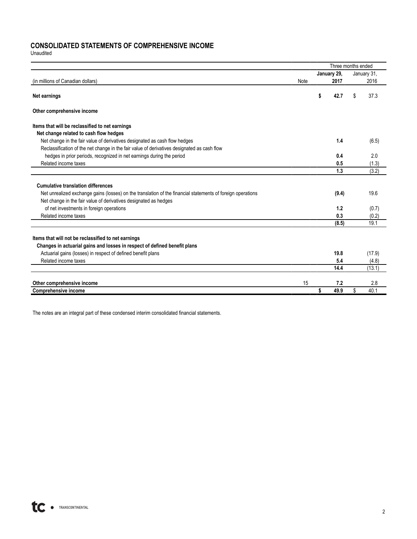## **CONSOLIDATED STATEMENTS OF COMPREHENSIVE INCOME**

Unaudited

|                                                                                                             |      |             | Three months ended |             |
|-------------------------------------------------------------------------------------------------------------|------|-------------|--------------------|-------------|
|                                                                                                             |      | January 29, |                    | January 31, |
| (in millions of Canadian dollars)                                                                           | Note |             | 2017               | 2016        |
| Net earnings                                                                                                |      | \$          | 42.7               | \$<br>37.3  |
| Other comprehensive income                                                                                  |      |             |                    |             |
| Items that will be reclassified to net earnings                                                             |      |             |                    |             |
| Net change related to cash flow hedges                                                                      |      |             |                    |             |
| Net change in the fair value of derivatives designated as cash flow hedges                                  |      |             | 1.4                | (6.5)       |
| Reclassification of the net change in the fair value of derivatives designated as cash flow                 |      |             |                    |             |
| hedges in prior periods, recognized in net earnings during the period                                       |      |             | 0.4                | 2.0         |
| Related income taxes                                                                                        |      |             | 0.5                | (1.3)       |
|                                                                                                             |      |             | 1.3                | (3.2)       |
|                                                                                                             |      |             |                    |             |
| <b>Cumulative translation differences</b>                                                                   |      |             |                    |             |
| Net unrealized exchange gains (losses) on the translation of the financial statements of foreign operations |      |             | (9.4)              | 19.6        |
| Net change in the fair value of derivatives designated as hedges                                            |      |             |                    |             |
| of net investments in foreign operations                                                                    |      |             | 1.2                | (0.7)       |
| Related income taxes                                                                                        |      |             | 0.3                | (0.2)       |
|                                                                                                             |      |             | (8.5)              | 19.1        |
|                                                                                                             |      |             |                    |             |
| Items that will not be reclassified to net earnings                                                         |      |             |                    |             |
| Changes in actuarial gains and losses in respect of defined benefit plans                                   |      |             |                    |             |
| Actuarial gains (losses) in respect of defined benefit plans                                                |      |             | 19.8               | (17.9)      |
| Related income taxes                                                                                        |      |             | 5.4                | (4.8)       |
|                                                                                                             |      |             | 14.4               | (13.1)      |
| Other comprehensive income                                                                                  | 15   |             | 7.2                | 2.8         |
| <b>Comprehensive income</b>                                                                                 |      | \$          | 49.9               | \$<br>40.1  |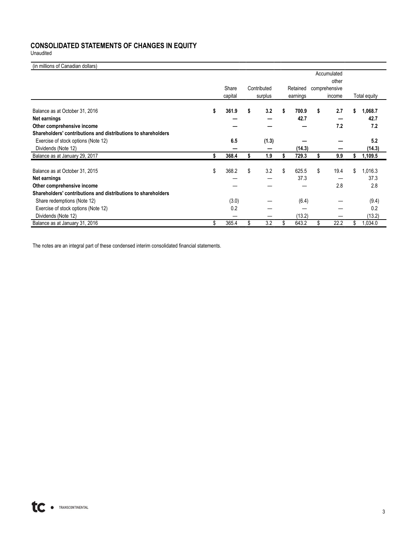# **CONSOLIDATED STATEMENTS OF CHANGES IN EQUITY**

Unaudited

| (in millions of Canadian dollars)                             |             |             |             |               |    |              |
|---------------------------------------------------------------|-------------|-------------|-------------|---------------|----|--------------|
|                                                               |             |             |             | Accumulated   |    |              |
|                                                               |             |             |             | other         |    |              |
|                                                               | Share       | Contributed | Retained    | comprehensive |    |              |
|                                                               | capital     | surplus     | earnings    | income        |    | Total equity |
| Balance as at October 31, 2016                                | \$<br>361.9 | \$<br>3.2   | \$<br>700.9 | \$<br>2.7     | s  | 1,068.7      |
| Net earnings                                                  |             |             | 42.7        |               |    | 42.7         |
| Other comprehensive income                                    |             |             |             | 7.2           |    | 7.2          |
| Shareholders' contributions and distributions to shareholders |             |             |             |               |    |              |
| Exercise of stock options (Note 12)                           | 6.5         | (1.3)       |             |               |    | 5.2          |
| Dividends (Note 12)                                           |             |             | (14.3)      |               |    | (14.3)       |
| Balance as at January 29, 2017                                | \$<br>368.4 | 1.9         | 729.3       | \$<br>9.9     |    | 1,109.5      |
| Balance as at October 31, 2015                                | \$<br>368.2 | \$<br>3.2   | \$<br>625.5 | \$<br>19.4    | \$ | 1,016.3      |
| Net earnings                                                  |             |             | 37.3        |               |    | 37.3         |
| Other comprehensive income                                    |             |             |             | 2.8           |    | 2.8          |
| Shareholders' contributions and distributions to shareholders |             |             |             |               |    |              |
| Share redemptions (Note 12)                                   | (3.0)       |             | (6.4)       |               |    | (9.4)        |
| Exercise of stock options (Note 12)                           | 0.2         |             |             |               |    | 0.2          |
| Dividends (Note 12)                                           |             |             | (13.2)      |               |    | (13.2)       |
| Balance as at January 31, 2016                                | \$<br>365.4 | \$<br>3.2   | \$<br>643.2 | \$<br>22.2    | \$ | 1,034.0      |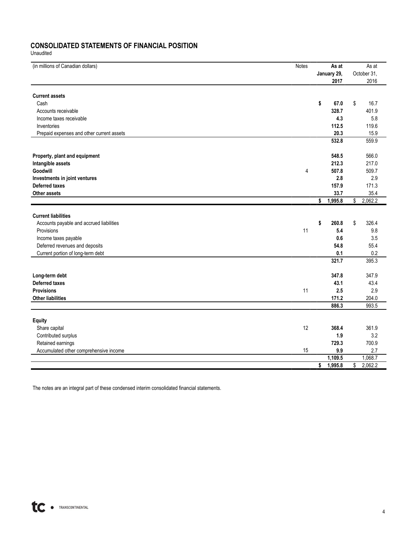# **CONSOLIDATED STATEMENTS OF FINANCIAL POSITION**

Unaudited

| (in millions of Canadian dollars)         | Notes          |        | As at       |              | As at       |
|-------------------------------------------|----------------|--------|-------------|--------------|-------------|
|                                           |                |        | January 29, |              | October 31, |
|                                           |                |        | 2017        |              | 2016        |
| <b>Current assets</b>                     |                |        |             |              |             |
| Cash                                      |                | \$     | 67.0        | \$           | 16.7        |
| Accounts receivable                       |                |        | 328.7       |              | 401.9       |
| Income taxes receivable                   |                |        | 4.3         |              | 5.8         |
| Inventories                               |                |        | 112.5       |              | 119.6       |
|                                           |                |        |             |              |             |
| Prepaid expenses and other current assets |                |        | 20.3        |              | 15.9        |
|                                           |                |        | 532.8       |              | 559.9       |
| Property, plant and equipment             |                |        | 548.5       |              | 566.0       |
| Intangible assets                         |                |        | 212.3       |              | 217.0       |
| Goodwill                                  | $\overline{4}$ |        | 507.8       |              | 509.7       |
| Investments in joint ventures             |                |        | 2.8         |              | 2.9         |
| Deferred taxes                            |                |        | 157.9       |              | 171.3       |
| Other assets                              |                |        | 33.7        |              | 35.4        |
|                                           |                | \$     | 1,995.8     | \$           | 2,062.2     |
|                                           |                |        |             |              |             |
| <b>Current liabilities</b>                |                |        |             |              |             |
| Accounts payable and accrued liabilities  |                | \$     | 260.8       | \$           | 326.4       |
| Provisions                                | 11             |        | 5.4         |              | 9.8         |
| Income taxes payable                      |                |        | 0.6         |              | 3.5         |
| Deferred revenues and deposits            |                |        | 54.8        |              | 55.4        |
| Current portion of long-term debt         |                |        | 0.1         |              | 0.2         |
|                                           |                |        | 321.7       |              | 395.3       |
| Long-term debt                            |                |        | 347.8       |              | 347.9       |
| Deferred taxes                            |                |        | 43.1        |              | 43.4        |
| <b>Provisions</b>                         | 11             |        | 2.5         |              | 2.9         |
| <b>Other liabilities</b>                  |                |        | 171.2       |              | 204.0       |
|                                           |                |        | 886.3       |              | 993.5       |
|                                           |                |        |             |              |             |
| <b>Equity</b>                             |                |        |             |              |             |
| Share capital                             | 12             |        | 368.4       |              | 361.9       |
| Contributed surplus                       |                |        | 1.9         |              | 3.2         |
| Retained earnings                         |                |        | 729.3       |              | 700.9       |
| Accumulated other comprehensive income    | 15             |        | 9.9         |              | 2.7         |
|                                           |                |        | 1,109.5     |              | 1,068.7     |
|                                           |                | $\sim$ | 1,995.8     | $\mathbb{S}$ | 2,062.2     |
|                                           |                |        |             |              |             |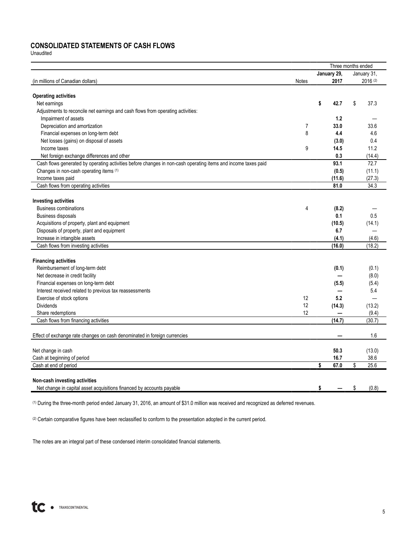### **CONSOLIDATED STATEMENTS OF CASH FLOWS**

Unaudited

|                                                                                                               |       | Three months ended |             |
|---------------------------------------------------------------------------------------------------------------|-------|--------------------|-------------|
|                                                                                                               |       | January 29,        | January 31, |
| (in millions of Canadian dollars)                                                                             | Notes | 2017               | 2016 (2)    |
|                                                                                                               |       |                    |             |
| <b>Operating activities</b>                                                                                   |       |                    | 37.3        |
| Net earnings                                                                                                  |       | \$<br>42.7         | \$          |
| Adjustments to reconcile net earnings and cash flows from operating activities:                               |       |                    |             |
| Impairment of assets                                                                                          |       | 1.2                |             |
| Depreciation and amortization                                                                                 | 7     | 33.0               | 33.6        |
| Financial expenses on long-term debt                                                                          | 8     | 4.4                | 4.6         |
| Net losses (gains) on disposal of assets                                                                      |       | (3.0)              | 0.4         |
| Income taxes                                                                                                  | 9     | 14.5               | 11.2        |
| Net foreign exchange differences and other                                                                    |       | 0.3                | (14.4)      |
| Cash flows generated by operating activities before changes in non-cash operating items and income taxes paid |       | 93.1               | 72.7        |
| Changes in non-cash operating items (1)                                                                       |       | (0.5)              | (11.1)      |
| Income taxes paid                                                                                             |       | (11.6)             | (27.3)      |
| Cash flows from operating activities                                                                          |       | 81.0               | 34.3        |
|                                                                                                               |       |                    |             |
| <b>Investing activities</b>                                                                                   |       |                    |             |
| <b>Business combinations</b>                                                                                  | 4     | (8.2)              |             |
| <b>Business disposals</b>                                                                                     |       | 0.1                | 0.5         |
| Acquisitions of property, plant and equipment                                                                 |       | (10.5)             | (14.1)      |
| Disposals of property, plant and equipment                                                                    |       | 6.7                |             |
| Increase in intangible assets                                                                                 |       | (4.1)              | (4.6)       |
| Cash flows from investing activities                                                                          |       | (16.0)             | (18.2)      |
|                                                                                                               |       |                    |             |
| <b>Financing activities</b>                                                                                   |       |                    |             |
| Reimbursement of long-term debt                                                                               |       | (0.1)              | (0.1)       |
| Net decrease in credit facility                                                                               |       |                    | (8.0)       |
| Financial expenses on long-term debt                                                                          |       | (5.5)              | (5.4)       |
| Interest received related to previous tax reassessments                                                       |       |                    | 5.4         |
| Exercise of stock options                                                                                     | 12    | 5.2                |             |
| <b>Dividends</b>                                                                                              | 12    | (14.3)             | (13.2)      |
| Share redemptions                                                                                             | 12    |                    | (9.4)       |
| Cash flows from financing activities                                                                          |       | (14.7)             | (30.7)      |
| Effect of exchange rate changes on cash denominated in foreign currencies                                     |       |                    | 1.6         |
|                                                                                                               |       |                    |             |
| Net change in cash                                                                                            |       | 50.3               | (13.0)      |
| Cash at beginning of period                                                                                   |       | 16.7               | 38.6        |
| Cash at end of period                                                                                         |       | \$<br>67.0         | \$<br>25.6  |
|                                                                                                               |       |                    |             |
| Non-cash investing activities                                                                                 |       |                    |             |
| Net change in capital asset acquisitions financed by accounts payable                                         |       | \$                 | \$<br>(0.8) |

(1) During the three-month period ended January 31, 2016, an amount of \$31.0 million was received and recognized as deferred revenues.

(2) Certain comparative figures have been reclassified to conform to the presentation adopted in the current period.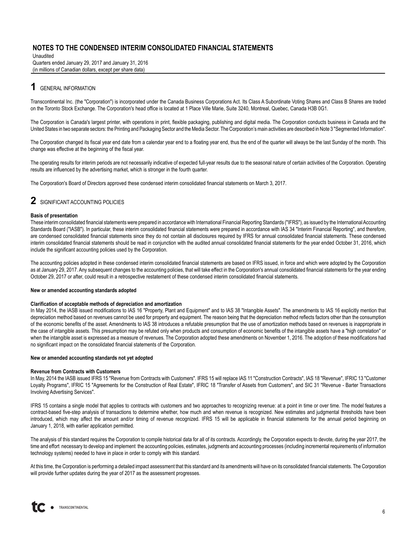Unaudited Quarters ended January 29, 2017 and January 31, 2016 (in millions of Canadian dollars, except per share data)

# **1** GENERAL INFORMATION

Transcontinental Inc. (the "Corporation") is incorporated under the Canada Business Corporations Act. Its Class A Subordinate Voting Shares and Class B Shares are traded on the Toronto Stock Exchange. The Corporation's head office is located at 1 Place Ville Marie, Suite 3240, Montreal, Quebec, Canada H3B 0G1.

The Corporation is Canada's largest printer, with operations in print, flexible packaging, publishing and digital media. The Corporation conducts business in Canada and the United States in two separate sectors: the Printing and Packaging Sector and the Media Sector. The Corporation's main activities are described in Note 3 "Segmented Information".

The Corporation changed its fiscal year end date from a calendar year end to a floating year end, thus the end of the quarter will always be the last Sunday of the month. This change was effective at the beginning of the fiscal year.

The operating results for interim periods are not necessarily indicative of expected full-year results due to the seasonal nature of certain activities of the Corporation. Operating results are influenced by the advertising market, which is stronger in the fourth quarter.

The Corporation's Board of Directors approved these condensed interim consolidated financial statements on March 3, 2017.

### **2** SIGNIFICANT ACCOUNTING POLICIES

#### **Basis of presentation**

These interim consolidated financial statements were prepared in accordance with International Financial Reporting Standards ("IFRS"), as issued by the International Accounting Standards Board ("IASB"). In particular, these interim consolidated financial statements were prepared in accordance with IAS 34 "Interim Financial Reporting", and therefore, are condensed consolidated financial statements since they do not contain all disclosures required by IFRS for annual consolidated financial statements. These condensed interim consolidated financial statements should be read in conjunction with the audited annual consolidated financial statements for the year ended October 31, 2016, which include the significant accounting policies used by the Corporation.

The accounting policies adopted in these condensed interim consolidated financial statements are based on IFRS issued, in force and which were adopted by the Corporation as at January 29, 2017. Any subsequent changes to the accounting policies, that will take effect in the Corporation's annual consolidated financial statements for the year ending October 29, 2017 or after, could result in a retrospective restatement of these condensed interim consolidated financial statements.

#### **New or amended accounting standards adopted**

#### **Clarification of acceptable methods of depreciation and amortization**

In May 2014, the IASB issued modifications to IAS 16 "Property, Plant and Equipment" and to IAS 38 "Intangible Assets". The amendments to IAS 16 explicitly mention that depreciation method based on revenues cannot be used for property and equipment. The reason being that the depreciation method reflects factors other than the consumption of the economic benefits of the asset. Amendments to IAS 38 introduces a refutable presumption that the use of amortization methods based on revenues is inappropriate in the case of intangible assets. This presumption may be refuted only when products and consumption of economic benefits of the intangible assets have a "high correlation" or when the intangible asset is expressed as a measure of revenues. The Corporation adopted these amendments on November 1, 2016. The adoption of these modifications had no significant impact on the consolidated financial statements of the Corporation.

#### **New or amended accounting standards not yet adopted**

#### **Revenue from Contracts with Customers**

In May, 2014 the IASB issued IFRS 15 "Revenue from Contracts with Customers". IFRS 15 will replace IAS 11 "Construction Contracts", IAS 18 "Revenue", IFRIC 13 "Customer Loyalty Programs", IFRIC 15 "Agreements for the Construction of Real Estate", IFRIC 18 "Transfer of Assets from Customers", and SIC 31 "Revenue - Barter Transactions Involving Advertising Services".

IFRS 15 contains a single model that applies to contracts with customers and two approaches to recognizing revenue: at a point in time or over time. The model features a contract-based five-step analysis of transactions to determine whether, how much and when revenue is recognized. New estimates and judgmental thresholds have been introduced, which may affect the amount and/or timing of revenue recognized. IFRS 15 will be applicable in financial statements for the annual period beginning on January 1, 2018, with earlier application permitted.

The analysis of this standard requires the Corporation to compile historical data for all of its contracts. Accordingly, the Corporation expects to devote, during the year 2017, the time and effort necessary to develop and implement the accounting policies, estimates, judgments and accounting processes (including incremental requirements of information technology systems) needed to have in place in order to comply with this standard.

At this time, the Corporation is performing a detailed impact assessment that this standard and its amendments will have on its consolidated financial statements. The Corporation will provide further updates during the year of 2017 as the assessment progresses.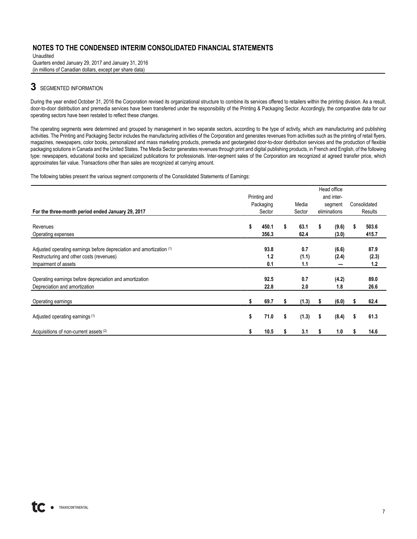Unaudited Quarters ended January 29, 2017 and January 31, 2016 (in millions of Canadian dollars, except per share data)

# **3** SEGMENTED INFORMATION

During the year ended October 31, 2016 the Corporation revised its organizational structure to combine its services offered to retailers within the printing division. As a result, door-to-door distribution and premedia services have been transferred under the responsibility of the Printing & Packaging Sector. Accordingly, the comparative data for our operating sectors have been restated to reflect these changes.

The operating segments were determined and grouped by management in two separate sectors, according to the type of activity, which are manufacturing and publishing activities. The Printing and Packaging Sector includes the manufacturing activities of the Corporation and generates revenues from activities such as the printing of retail flyers, magazines, newspapers, color books, personalized and mass marketing products, premedia and geotargeted door-to-door distribution services and the production of flexible packaging solutions in Canada and the United States. The Media Sector generates revenues through print and digital publishing products, in French and English, of the following type: newspapers, educational books and specialized publications for professionals. Inter-segment sales of the Corporation are recognized at agreed transfer price, which approximates fair value. Transactions other than sales are recognized at carrying amount.

The following tables present the various segment components of the Consolidated Statements of Earnings:

|                                                                      |    |              |    |        |    | Head office  |    |              |
|----------------------------------------------------------------------|----|--------------|----|--------|----|--------------|----|--------------|
|                                                                      |    | Printing and |    |        |    | and inter-   |    |              |
|                                                                      |    | Packaging    |    | Media  |    | segment      |    | Consolidated |
| For the three-month period ended January 29, 2017                    |    | Sector       |    | Sector |    | eliminations |    | Results      |
|                                                                      |    |              |    |        |    |              |    |              |
| Revenues                                                             | \$ | 450.1        | s  | 63.1   | s. | (9.6)        | s  | 503.6        |
| Operating expenses                                                   |    | 356.3        |    | 62.4   |    | (3.0)        |    | 415.7        |
|                                                                      |    |              |    |        |    |              |    |              |
| Adjusted operating earnings before depreciation and amortization (1) |    | 93.8         |    | 0.7    |    | (6.6)        |    | 87.9         |
| Restructuring and other costs (revenues)                             |    | 1.2          |    | (1.1)  |    | (2.4)        |    | (2.3)        |
| Impairment of assets                                                 |    | 0.1          |    | 1.1    |    |              |    | 1.2          |
|                                                                      |    |              |    |        |    |              |    |              |
| Operating earnings before depreciation and amortization              |    | 92.5         |    | 0.7    |    | (4.2)        |    | 89.0         |
| Depreciation and amortization                                        |    | 22.8         |    | 2.0    |    | 1.8          |    | 26.6         |
|                                                                      |    |              |    |        |    |              |    |              |
| Operating earnings                                                   |    | 69.7         |    | (1.3)  |    | (6.0)        |    | 62.4         |
|                                                                      |    |              |    |        |    |              |    |              |
| Adjusted operating earnings (1)                                      | \$ | 71.0         | \$ | (1.3)  | \$ | (8.4)        | \$ | 61.3         |
|                                                                      |    |              |    |        |    |              |    |              |
| Acquisitions of non-current assets (2)                               | S  | 10.5         |    | 3.1    | S  | 1.0          | s  | 14.6         |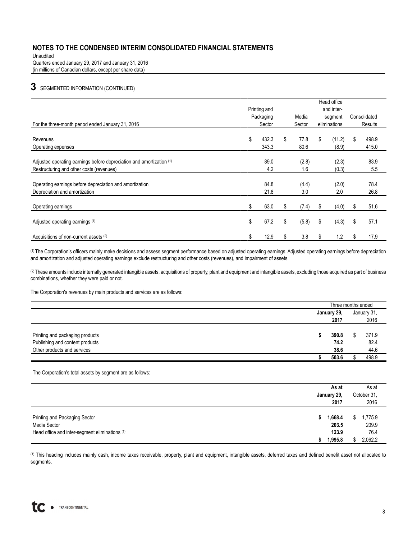Unaudited Quarters ended January 29, 2017 and January 31, 2016 (in millions of Canadian dollars, except per share data)

# **3** SEGMENTED INFORMATION (CONTINUED)

|                                                                                                                  |    | Printing and |        | Head office<br>and inter- |    |                |              |              |  |
|------------------------------------------------------------------------------------------------------------------|----|--------------|--------|---------------------------|----|----------------|--------------|--------------|--|
|                                                                                                                  |    | Packaging    |        | Media                     |    | segment        | Consolidated |              |  |
| For the three-month period ended January 31, 2016                                                                |    | Sector       | Sector |                           |    | eliminations   |              | Results      |  |
| Revenues                                                                                                         | \$ | 432.3        | \$     | 77.8                      | \$ | (11.2)         | \$           | 498.9        |  |
| Operating expenses                                                                                               |    | 343.3        |        | 80.6                      |    | (8.9)          |              | 415.0        |  |
| Adjusted operating earnings before depreciation and amortization (1)<br>Restructuring and other costs (revenues) |    | 89.0<br>4.2  |        | (2.8)<br>1.6              |    | (2.3)<br>(0.3) |              | 83.9<br>5.5  |  |
| Operating earnings before depreciation and amortization<br>Depreciation and amortization                         |    | 84.8<br>21.8 |        | (4.4)<br>3.0              |    | (2.0)<br>2.0   |              | 78.4<br>26.8 |  |
| Operating earnings                                                                                               | S. | 63.0         | S.     | (7.4)                     | S. | (4.0)          |              | 51.6         |  |
| Adjusted operating earnings (1)                                                                                  | \$ | 67.2         | \$     | (5.8)                     | \$ | (4.3)          | \$           | 57.1         |  |
| Acquisitions of non-current assets (2)                                                                           | \$ | 12.9         | \$     | 3.8                       | S  | 1.2            | S            | 17.9         |  |

(1) The Corporation's officers mainly make decisions and assess segment performance based on adjusted operating earnings. Adjusted operating earnings before depreciation and amortization and adjusted operating earnings exclude restructuring and other costs (revenues), and impairment of assets.

(2) These amounts include internally generated intangible assets, acquisitions of property, plant and equipment and intangible assets, excluding those acquired as part of business combinations, whether they were paid or not.

The Corporation's revenues by main products and services are as follows:

|                                 | Three months ended |  |             |
|---------------------------------|--------------------|--|-------------|
|                                 | January 29,        |  | January 31, |
|                                 | 2017               |  | 2016        |
| Printing and packaging products | 390.8              |  | 371.9       |
| Publishing and content products | 74.2               |  | 82.4        |
| Other products and services     | 38.6               |  | 44.6        |
|                                 | 503.6              |  | 498.9       |

The Corporation's total assets by segment are as follows:

|                                                                                                 |   | As at<br>January 29,<br>2017 |    | As at<br>October 31,<br>2016 |
|-------------------------------------------------------------------------------------------------|---|------------------------------|----|------------------------------|
| Printing and Packaging Sector<br>Media Sector<br>Head office and inter-segment eliminations (1) | 5 | 1,668.4<br>203.5<br>123.9    | S. | 1,775.9<br>209.9<br>76.4     |
|                                                                                                 |   | 1,995.8                      |    | 2,062.2                      |

(1) This heading includes mainly cash, income taxes receivable, property, plant and equipment, intangible assets, deferred taxes and defined benefit asset not allocated to segments.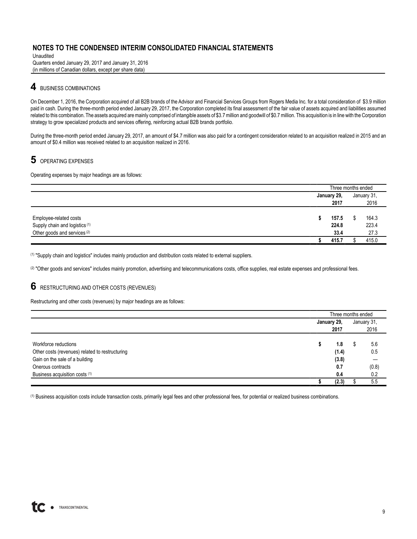Unaudited Quarters ended January 29, 2017 and January 31, 2016 (in millions of Canadian dollars, except per share data)

### **4** BUSINESS COMBINATIONS

On December 1, 2016, the Corporation acquired of all B2B brands of the Advisor and Financial Services Groups from Rogers Media Inc. for a total consideration of \$3.9 million paid in cash. During the three-month period ended January 29, 2017, the Corporation completed its final assessment of the fair value of assets acquired and liabilities assumed related to this combination. The assets acquired are mainly comprised of intangible assets of \$3.7 million and goodwill of \$0.7 million. This acquisition is in line with the Corporation strategy to grow specialized products and services offering, reinforcing actual B2B brands portfolio.

During the three-month period ended January 29, 2017, an amount of \$4.7 million was also paid for a contingent consideration related to an acquisition realized in 2015 and an amount of \$0.4 million was received related to an acquisition realized in 2016.

# **5** OPERATING EXPENSES

Operating expenses by major headings are as follows:

|                                           |             |       | Three months ended |             |  |
|-------------------------------------------|-------------|-------|--------------------|-------------|--|
|                                           | January 29, |       |                    | January 31, |  |
|                                           |             | 2017  |                    | 2016        |  |
|                                           |             |       |                    |             |  |
| Employee-related costs                    | ъ           | 157.5 |                    | 164.3       |  |
| Supply chain and logistics <sup>(1)</sup> |             | 224.8 |                    | 223.4       |  |
| Other goods and services <sup>(2)</sup>   |             | 33.4  |                    | 27.3        |  |
|                                           |             | 415.7 |                    | 415.0       |  |

(1) "Supply chain and logistics" includes mainly production and distribution costs related to external suppliers.

(2) "Other goods and services" includes mainly promotion, advertising and telecommunications costs, office supplies, real estate expenses and professional fees.

#### **6** RESTRUCTURING AND OTHER COSTS (REVENUES)

Restructuring and other costs (revenues) by major headings are as follows:

|                                                 |             | Three months ended |             |  |  |
|-------------------------------------------------|-------------|--------------------|-------------|--|--|
|                                                 | January 29, |                    | January 31, |  |  |
|                                                 | 2017        |                    | 2016        |  |  |
|                                                 |             |                    |             |  |  |
| Workforce reductions                            | 1.8         | ъ.                 | 5.6         |  |  |
| Other costs (revenues) related to restructuring | (1.4)       |                    | 0.5         |  |  |
| Gain on the sale of a building                  | (3.8)       |                    |             |  |  |
| Onerous contracts                               | 0.7         |                    | (0.8)       |  |  |
| Business acquisition costs (1)                  | 0.4         |                    | 0.2         |  |  |
|                                                 | (2.3)       |                    | 5.5         |  |  |

(1) Business acquisition costs include transaction costs, primarily legal fees and other professional fees, for potential or realized business combinations.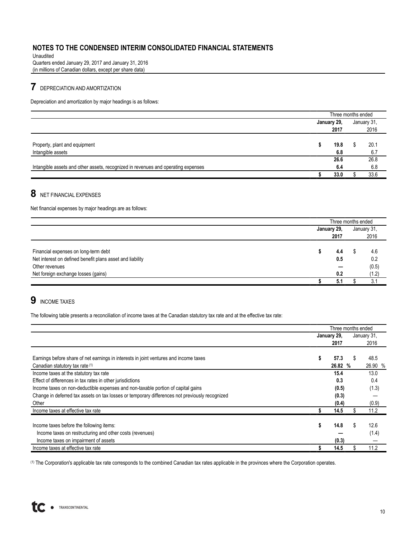Unaudited Quarters ended January 29, 2017 and January 31, 2016 (in millions of Canadian dollars, except per share data)

# **7** DEPRECIATION AND AMORTIZATION

Depreciation and amortization by major headings is as follows:

|                                                                                   | Three months ended |             |
|-----------------------------------------------------------------------------------|--------------------|-------------|
|                                                                                   | January 29,        | January 31, |
|                                                                                   | 2017               | 2016        |
|                                                                                   |                    |             |
| Property, plant and equipment                                                     | 19.8               | 20.1        |
| Intangible assets                                                                 | 6.8                | 6.7         |
|                                                                                   | 26.6               | 26.8        |
| Intangible assets and other assets, recognized in revenues and operating expenses | 6.4                | 6.8         |
|                                                                                   | 33.0               | 33.6        |

# **8** NET FINANCIAL EXPENSES

Net financial expenses by major headings are as follows:

|                                                           |             | Three months ended |             |  |  |  |
|-----------------------------------------------------------|-------------|--------------------|-------------|--|--|--|
|                                                           | January 29, |                    | January 31, |  |  |  |
|                                                           | 2017        |                    | 2016        |  |  |  |
| Financial expenses on long-term debt                      | 4.4         | Œ                  | 4.6         |  |  |  |
| Net interest on defined benefit plans asset and liability | 0.5         |                    | 0.2         |  |  |  |
| Other revenues                                            |             |                    | (0.5)       |  |  |  |
| Net foreign exchange losses (gains)                       | 0.2         |                    | (1.2)       |  |  |  |
|                                                           | 5.1         |                    | 3.1         |  |  |  |

# **9** INCOME TAXES

The following table presents a reconciliation of income taxes at the Canadian statutory tax rate and at the effective tax rate:

|                                                                                                |    | Three months ended |    |             |  |  |  |
|------------------------------------------------------------------------------------------------|----|--------------------|----|-------------|--|--|--|
|                                                                                                |    | January 29,        |    | January 31, |  |  |  |
|                                                                                                |    | 2017               |    | 2016        |  |  |  |
| Earnings before share of net earnings in interests in joint ventures and income taxes          | S  | 57.3               |    | 48.5        |  |  |  |
| Canadian statutory tax rate (1)                                                                |    | 26.82 %            |    | 26.90 %     |  |  |  |
| Income taxes at the statutory tax rate                                                         |    | 15.4               |    | 13.0        |  |  |  |
| Effect of differences in tax rates in other jurisdictions                                      |    | 0.3                |    | 0.4         |  |  |  |
| Income taxes on non-deductible expenses and non-taxable portion of capital gains               |    | (0.5)              |    | (1.3)       |  |  |  |
| Change in deferred tax assets on tax losses or temporary differences not previously recognized |    | (0.3)              |    |             |  |  |  |
| Other                                                                                          |    | (0.4)              |    | (0.9)       |  |  |  |
| Income taxes at effective tax rate                                                             |    | 14.5               |    | 11.2        |  |  |  |
| Income taxes before the following items:                                                       | \$ | 14.8               | S. | 12.6        |  |  |  |
| Income taxes on restructuring and other costs (revenues)                                       |    |                    |    | (1.4)       |  |  |  |
| Income taxes on impairment of assets                                                           |    | (0.3)              |    |             |  |  |  |
| Income taxes at effective tax rate                                                             |    | 14.5               |    | 11.2        |  |  |  |

(1) The Corporation's applicable tax rate corresponds to the combined Canadian tax rates applicable in the provinces where the Corporation operates.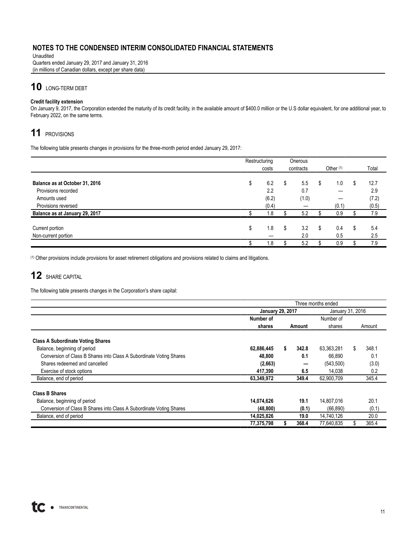Unaudited Quarters ended January 29, 2017 and January 31, 2016 (in millions of Canadian dollars, except per share data)

# **10** LONG-TERM DEBT

#### **Credit facility extension**

On January 9, 2017, the Corporation extended the maturity of its credit facility, in the available amount of \$400.0 million or the U.S dollar equivalent, for one additional year, to February 2022, on the same terms.

# **11** PROVISIONS

The following table presents changes in provisions for the three-month period ended January 29, 2017:

|                                | Restructuring | Onerous |           |    |             |    |       |
|--------------------------------|---------------|---------|-----------|----|-------------|----|-------|
|                                | costs         |         | contracts |    | Other $(1)$ |    | Total |
|                                |               |         |           |    |             |    |       |
| Balance as at October 31, 2016 | \$<br>6.2     | S       | 5.5       | S  | 1.0         | S  | 12.7  |
| Provisions recorded            | 2.2           |         | 0.7       |    |             |    | 2.9   |
| Amounts used                   | (6.2)         |         | (1.0)     |    |             |    | (7.2) |
| Provisions reversed            | (0.4)         |         |           |    | (0.1)       |    | (0.5) |
| Balance as at January 29, 2017 | 1.8           |         | 5.2       |    | 0.9         |    | 7.9   |
| Current portion                | \$<br>1.8     | \$      | 3.2       | \$ | 0.4         | \$ | 5.4   |
| Non-current portion            |               |         | 2.0       |    | 0.5         |    | 2.5   |
|                                | 1.8           |         | 5.2       |    | 0.9         |    | 7.9   |

(1) Other provisions include provisions for asset retirement obligations and provisions related to claims and litigations.

# **12** SHARE CAPITAL

The following table presents changes in the Corporation's share capital:

|                                                                     |                         | Three months ended |       |                  |    |        |  |  |  |
|---------------------------------------------------------------------|-------------------------|--------------------|-------|------------------|----|--------|--|--|--|
|                                                                     | <b>January 29, 2017</b> |                    |       | January 31, 2016 |    |        |  |  |  |
|                                                                     | Number of               |                    |       | Number of        |    |        |  |  |  |
|                                                                     | shares                  | Amount             |       | shares           |    | Amount |  |  |  |
| <b>Class A Subordinate Voting Shares</b>                            |                         |                    |       |                  |    |        |  |  |  |
| Balance, beginning of period                                        | 62,886,445              |                    | 342.8 | 63,363,281       | \$ | 348.1  |  |  |  |
| Conversion of Class B Shares into Class A Subordinate Voting Shares | 48,800                  |                    | 0.1   | 66,890           |    | 0.1    |  |  |  |
| Shares redeemed and cancelled                                       | (2,663)                 |                    |       | (543,500)        |    | (3.0)  |  |  |  |
| Exercise of stock options                                           | 417,390                 |                    | 6.5   | 14.038           |    | 0.2    |  |  |  |
| Balance, end of period                                              | 63,349,972              |                    | 349.4 | 62,900,709       |    | 345.4  |  |  |  |
| <b>Class B Shares</b>                                               |                         |                    |       |                  |    |        |  |  |  |
| Balance, beginning of period                                        | 14,074,626              |                    | 19.1  | 14,807,016       |    | 20.1   |  |  |  |
| Conversion of Class B Shares into Class A Subordinate Voting Shares | (48, 800)               |                    | (0.1) | (66, 890)        |    | (0.1)  |  |  |  |
| Balance, end of period                                              | 14,025,826              |                    | 19.0  | 14,740,126       |    | 20.0   |  |  |  |
|                                                                     | 77,375,798              |                    | 368.4 | 77,640,835       |    | 365.4  |  |  |  |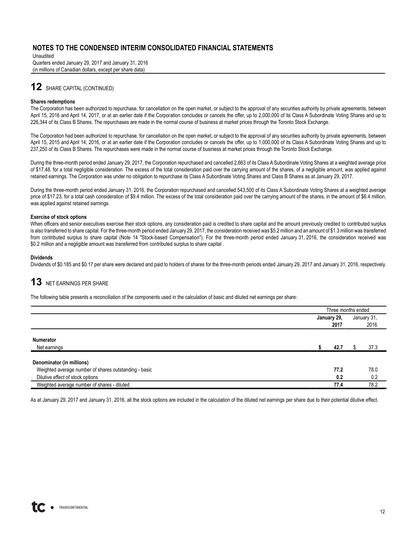Unaudited Quarters ended January 29, 2017 and January 31, 2016 (in millions of Canadian dollars, except per share data)

# **12** SHARE CAPITAL (CONTINUED)

#### **Shares redemptions**

The Corporation has been authorized to repurchase, for cancellation on the open market, or subject to the approval of any securities authority by private agreements, between April 15, 2016 and April 14, 2017, or at an earlier date if the Corporation concludes or cancels the offer, up to 2,000,000 of its Class A Subordinate Voting Shares and up to 226,344 of its Class B Shares. The repurchases are made in the normal course of business at market prices through the Toronto Stock Exchange.

The Corporation had been authorized to repurchase, for cancellation on the open market, or subject to the approval of any securities authority by private agreements, between April 15, 2015 and April 14, 2016, or at an earlier date if the Corporation concludes or cancels the offer, up to 1,000,000 of its Class A Subordinate Voting Shares and up to 237,250 of its Class B Shares. The repurchases were made in the normal course of business at market prices through the Toronto Stock Exchange.

During the three-month period ended January 29, 2017, the Corporation repurchased and cancelled 2,663 of its Class A Subordinate Voting Shares at a weighted average price of \$17.48, for a total negligible consideration. The excess of the total consideration paid over the carrying amount of the shares, of a negligible amount, was applied against retained earnings. The Corporation was under no obligation to repurchase its Class A Subordinate Voting Shares and Class B Shares as at January 29, 2017.

During the three-month period ended January 31, 2016, the Corporation repurchased and cancelled 543,500 of its Class A Subordinate Voting Shares at a weighted average price of \$17.23, for a total cash consideration of \$9.4 million. The excess of the total consideration paid over the carrying amount of the shares, in the amount of \$6.4 million, was applied against retained earnings.

#### **Exercise of stock options**

When officers and senior executives exercise their stock options, any consideration paid is credited to share capital and the amount previously credited to contributed surplus is also transferred to share capital. For the three-month period ended January 29, 2017, the consideration received was \$5.2 million and an amount of \$1.3 million was transferred from contributed surplus to share capital (Note 14 "Stock-based Compensation"). For the three-month period ended January 31, 2016, the consideration received was \$0.2 million and a negligible amount was transferred from contributed surplus to share capital .

#### **Dividends**

Dividends of \$0.185 and \$0.17 per share were declared and paid to holders of shares for the three-month periods ended January 29, 2017 and January 31, 2016, respectively.

# **13** NET EARNINGS PER SHARE

The following table presents a reconciliation of the components used in the calculation of basic and diluted net earnings per share:

|                                                       | Three months ended |             |
|-------------------------------------------------------|--------------------|-------------|
|                                                       | January 29,        | January 31, |
|                                                       | 2017               | 2016        |
| <b>Numerator</b><br>Net earnings                      | 42.7               | 37.3        |
| Denominator (in millions)                             |                    |             |
| Weighted average number of shares outstanding - basic | 77.2               | 78.0        |
| Dilutive effect of stock options                      | 0.2                | 0.2         |
| Weighted average number of shares - diluted           | 77.4               | 78.2        |

As at January 29, 2017 and January 31, 2016, all the stock options are included in the calculation of the diluted net earnings per share due to their potential dilutive effect.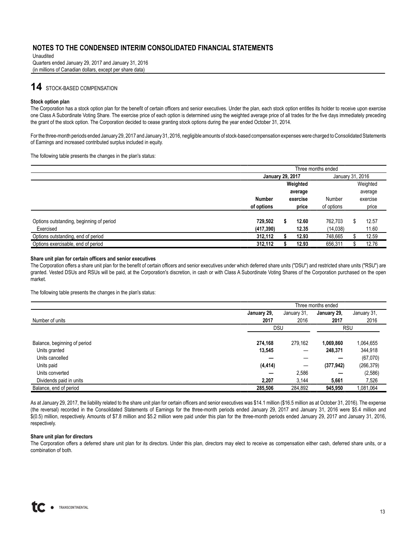Unaudited Quarters ended January 29, 2017 and January 31, 2016 (in millions of Canadian dollars, except per share data)

# **14** STOCK-BASED COMPENSATION

#### **Stock option plan**

The Corporation has a stock option plan for the benefit of certain officers and senior executives. Under the plan, each stock option entitles its holder to receive upon exercise one Class A Subordinate Voting Share. The exercise price of each option is determined using the weighted average price of all trades for the five days immediately preceding the grant of the stock option. The Corporation decided to cease granting stock options during the year ended October 31, 2014.

For the three-month periods ended January 29, 2017 and January 31, 2016, negligible amounts of stock-based compensation expenses were charged to Consolidated Statements of Earnings and increased contributed surplus included in equity.

The following table presents the changes in the plan's status:

|                                          |                           | Three months ended |          |                  |          |          |  |  |  |
|------------------------------------------|---------------------------|--------------------|----------|------------------|----------|----------|--|--|--|
|                                          | <b>January 29, 2017</b>   |                    |          | January 31, 2016 |          |          |  |  |  |
|                                          |                           |                    | Weighted |                  |          | Weighted |  |  |  |
|                                          |                           | average            |          |                  |          | average  |  |  |  |
|                                          | <b>Number</b><br>exercise |                    | Number   |                  | exercise |          |  |  |  |
|                                          | of options                |                    | price    | of options       |          | price    |  |  |  |
| Options outstanding, beginning of period | 729.502                   |                    | 12.60    | 762.703          | S.       | 12.57    |  |  |  |
| Exercised                                | (417, 390)                |                    | 12.35    | (14,038)         |          | 11.60    |  |  |  |
| Options outstanding, end of period       | 312,112                   |                    | 12.93    | 748,665          |          | 12.59    |  |  |  |
| Options exercisable, end of period       | 312,112                   |                    | 12.93    | 656,311          |          | 12.76    |  |  |  |

#### **Share unit plan for certain officers and senior executives**

The Corporation offers a share unit plan for the benefit of certain officers and senior executives under which deferred share units ("DSU") and restricted share units ("RSU") are granted. Vested DSUs and RSUs will be paid, at the Corporation's discretion, in cash or with Class A Subordinate Voting Shares of the Corporation purchased on the open market.

The following table presents the changes in the plan's status:

|                              | Three months ended |         |            |             |  |  |  |  |  |  |
|------------------------------|--------------------|---------|------------|-------------|--|--|--|--|--|--|
| January 29,<br>January 31,   |                    |         |            | January 31, |  |  |  |  |  |  |
| Number of units              | 2017               | 2016    | 2017       | 2016        |  |  |  |  |  |  |
|                              | <b>DSU</b>         |         | <b>RSU</b> |             |  |  |  |  |  |  |
| Balance, beginning of period | 274,168            | 279,162 | 1,069,860  | 1,064,655   |  |  |  |  |  |  |
| Units granted                | 13,545             |         | 248,371    | 344,918     |  |  |  |  |  |  |
| Units cancelled              |                    |         |            | (67,070)    |  |  |  |  |  |  |
| Units paid                   | (4, 414)           | —       | (377, 942) | (266, 379)  |  |  |  |  |  |  |
| Units converted              | _                  | 2,586   |            | (2, 586)    |  |  |  |  |  |  |
| Dividends paid in units      | 2,207              | 3.144   | 5,661      | 7,526       |  |  |  |  |  |  |
| Balance, end of period       | 285,506            | 284,892 | 945,950    | 1,081,064   |  |  |  |  |  |  |

As at January 29, 2017, the liability related to the share unit plan for certain officers and senior executives was \$14.1 million (\$16.5 million as at October 31, 2016). The expense (the reversal) recorded in the Consolidated Statements of Earnings for the three-month periods ended January 29, 2017 and January 31, 2016 were \$5.4 million and \$(0.5) million, respectively. Amounts of \$7.8 million and \$5.2 million were paid under this plan for the three-month periods ended January 29, 2017 and January 31, 2016, respectively.

#### **Share unit plan for directors**

The Corporation offers a deferred share unit plan for its directors. Under this plan, directors may elect to receive as compensation either cash, deferred share units, or a combination of both.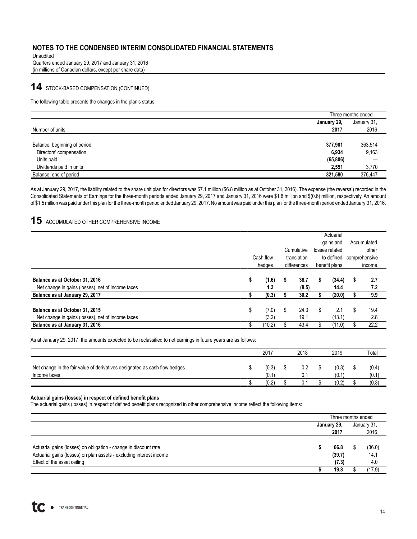Unaudited Quarters ended January 29, 2017 and January 31, 2016 (in millions of Canadian dollars, except per share data)

# **14** STOCK-BASED COMPENSATION (CONTINUED)

The following table presents the changes in the plan's status:

|                              |             | Three months ended |
|------------------------------|-------------|--------------------|
|                              | January 29, | January 31,        |
| Number of units              | 2017        | 2016               |
|                              |             |                    |
| Balance, beginning of period | 377,901     | 363,514            |
| Directors' compensation      | 6,934       | 9,163              |
| Units paid                   | (65, 806)   |                    |
| Dividends paid in units      | 2,551       | 3,770              |
| Balance, end of period       | 321,580     | 376,447            |

As at January 29, 2017, the liability related to the share unit plan for directors was \$7.1 million (\$6.8 million as at October 31, 2016). The expense (the reversal) recorded in the Consolidated Statements of Earnings for the three-month periods ended January 29, 2017 and January 31, 2016 were \$1.8 million and \$(0.6) million, respectively. An amount of \$1.5million was paid under this plan for the three-month period ended January 29, 2017. No amount was paid under this plan for the three-month period ended January 31, 2016.

# **15** ACCUMULATED OTHER COMPREHENSIVE INCOME

|                                                                                     |    |                     |                            | Cumulative    |                             | Actuarial<br>gains and<br>losses related | Accumulated<br>other    |
|-------------------------------------------------------------------------------------|----|---------------------|----------------------------|---------------|-----------------------------|------------------------------------------|-------------------------|
|                                                                                     |    | Cash flow<br>hedges | translation<br>differences |               | to defined<br>benefit plans |                                          | comprehensive<br>income |
| Balance as at October 31, 2016<br>Net change in gains (losses), net of income taxes | S  | (1.6)<br>1.3        | 5                          | 38.7<br>(8.5) | S                           | (34.4)<br>14.4                           | \$<br>2.7<br>7.2        |
| Balance as at January 29, 2017                                                      |    | (0.3)               |                            | 30.2          |                             | (20.0)                                   | <u>9.9</u>              |
| Balance as at October 31, 2015<br>Net change in gains (losses), net of income taxes | \$ | (7.0)<br>(3.2)      | S                          | 24.3<br>19.1  | \$                          | 2.1<br>(13.1)                            | \$<br>19.4<br>2.8       |
| Balance as at January 31, 2016                                                      |    | (10.2)              |                            | 43.4          |                             | (11.0)                                   | 22.2                    |

As at January 29, 2017, the amounts expected to be reclassified to net earnings in future years are as follows:

|                                                                                            | 2017           | 2018       | 2019           | Total          |
|--------------------------------------------------------------------------------------------|----------------|------------|----------------|----------------|
| Net change in the fair value of derivatives designated as cash flow hedges<br>Income taxes | (0.3)<br>(0.1) | 0.2<br>0.1 | (0.3)<br>(0.1) | (0.4)<br>(0.1) |
|                                                                                            | (0.2)          | 0.1        | (0.2)          | (0.3)          |

#### **Actuarial gains (losses) in respect of defined benefit plans**

The actuarial gains (losses) in respect of defined benefit plans recognized in other comprehensive income reflect the following items:

|                                                                     | Three months ended |             |  |             |  |  |
|---------------------------------------------------------------------|--------------------|-------------|--|-------------|--|--|
|                                                                     |                    | January 29, |  | January 31. |  |  |
|                                                                     |                    | 2017        |  | 2016        |  |  |
| Actuarial gains (losses) on obligation - change in discount rate    |                    | 66.8        |  | (36.0)      |  |  |
| Actuarial gains (losses) on plan assets - excluding interest income |                    | (39.7)      |  | 14.1        |  |  |
| Effect of the asset ceiling                                         |                    | (7.3)       |  | 4.0         |  |  |
|                                                                     |                    | 19.8        |  | (17.9)      |  |  |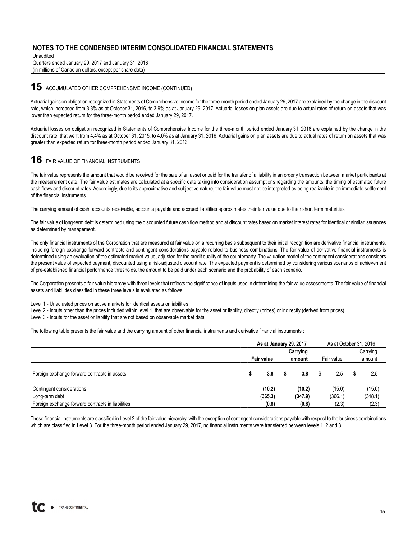Unaudited Quarters ended January 29, 2017 and January 31, 2016 (in millions of Canadian dollars, except per share data)

#### **15** ACCUMULATED OTHER COMPREHENSIVE INCOME (CONTINUED)

Actuarial gains on obligation recognized in Statements of Comprehensive Income for the three-month period ended January 29, 2017 are explained by the change in the discount rate, which increased from 3.3% as at October 31, 2016, to 3.9% as at January 29, 2017. Actuarial losses on plan assets are due to actual rates of return on assets that was lower than expected return for the three-month period ended January 29, 2017.

Actuarial losses on obligation recognized in Statements of Comprehensive Income for the three-month period ended January 31, 2016 are explained by the change in the discount rate, that went from 4.4% as at October 31, 2015, to 4.0% as at January 31, 2016. Actuarial gains on plan assets are due to actual rates of return on assets that was greater than expected return for three-month period ended January 31, 2016.

# **16** FAIR VALUE OF FINANCIAL INSTRUMENTS

The fair value represents the amount that would be received for the sale of an asset or paid for the transfer of a liability in an orderly transaction between market participants at the measurement date. The fair value estimates are calculated at a specific date taking into consideration assumptions regarding the amounts, the timing of estimated future cash flows and discount rates. Accordingly, due to its approximative and subjective nature, the fair value must not be interpreted as being realizable in an immediate settlement of the financial instruments.

The carrying amount of cash, accounts receivable, accounts payable and accrued liabilities approximates their fair value due to their short term maturities.

The fair value of long-term debt is determined using the discounted future cash flow method and at discount rates based on market interest rates for identical or similar issuances as determined by management.

The only financial instruments of the Corporation that are measured at fair value on a recurring basis subsequent to their initial recognition are derivative financial instruments, including foreign exchange forward contracts and contingent considerations payable related to business combinations. The fair value of derivative financial instruments is determined using an evaluation of the estimated market value, adjusted for the credit quality of the counterparty. The valuation model of the contingent considerations considers the present value of expected payment, discounted using a risk-adjusted discount rate. The expected payment is determined by considering various scenarios of achievement of pre-established financial performance thresholds, the amount to be paid under each scenario and the probability of each scenario.

The Corporation presents a fair value hierarchy with three levels that reflects the significance of inputs used in determining the fair value assessments. The fair value of financial assets and liabilities classified in these three levels is evaluated as follows:

Level 1 - Unadjusted prices on active markets for identical assets or liabilities

Level 2 - Inputs other than the prices included within level 1, that are observable for the asset or liability, directly (prices) or indirectly (derived from prices) Level 3 - Inputs for the asset or liability that are not based on observable market data

The following table presents the fair value and the carrying amount of other financial instruments and derivative financial instruments :

|                                                   | As at January 29, 2017 |  |          |            | As at October 31, 2016 |   |          |  |
|---------------------------------------------------|------------------------|--|----------|------------|------------------------|---|----------|--|
|                                                   |                        |  | Carrying |            |                        |   | Carrying |  |
|                                                   | <b>Fair value</b>      |  | amount   | Fair value |                        |   | amount   |  |
| Foreign exchange forward contracts in assets      | 3.8                    |  | 3.8      |            | 2.5                    | S | 2.5      |  |
| Contingent considerations                         | (10.2)                 |  | (10.2)   |            | (15.0)                 |   | (15.0)   |  |
| Long-term debt                                    | (365.3)                |  | (347.9)  |            | (366.1)                |   | (348.1)  |  |
| Foreign exchange forward contracts in liabilities | (0.8)                  |  | (0.8)    |            | (2.3)                  |   | (2.3)    |  |

These financial instruments are classified in Level 2 of the fair value hierarchy, with the exception of contingent considerations payable with respect to the business combinations which are classified in Level 3. For the three-month period ended January 29, 2017, no financial instruments were transferred between levels 1, 2 and 3.